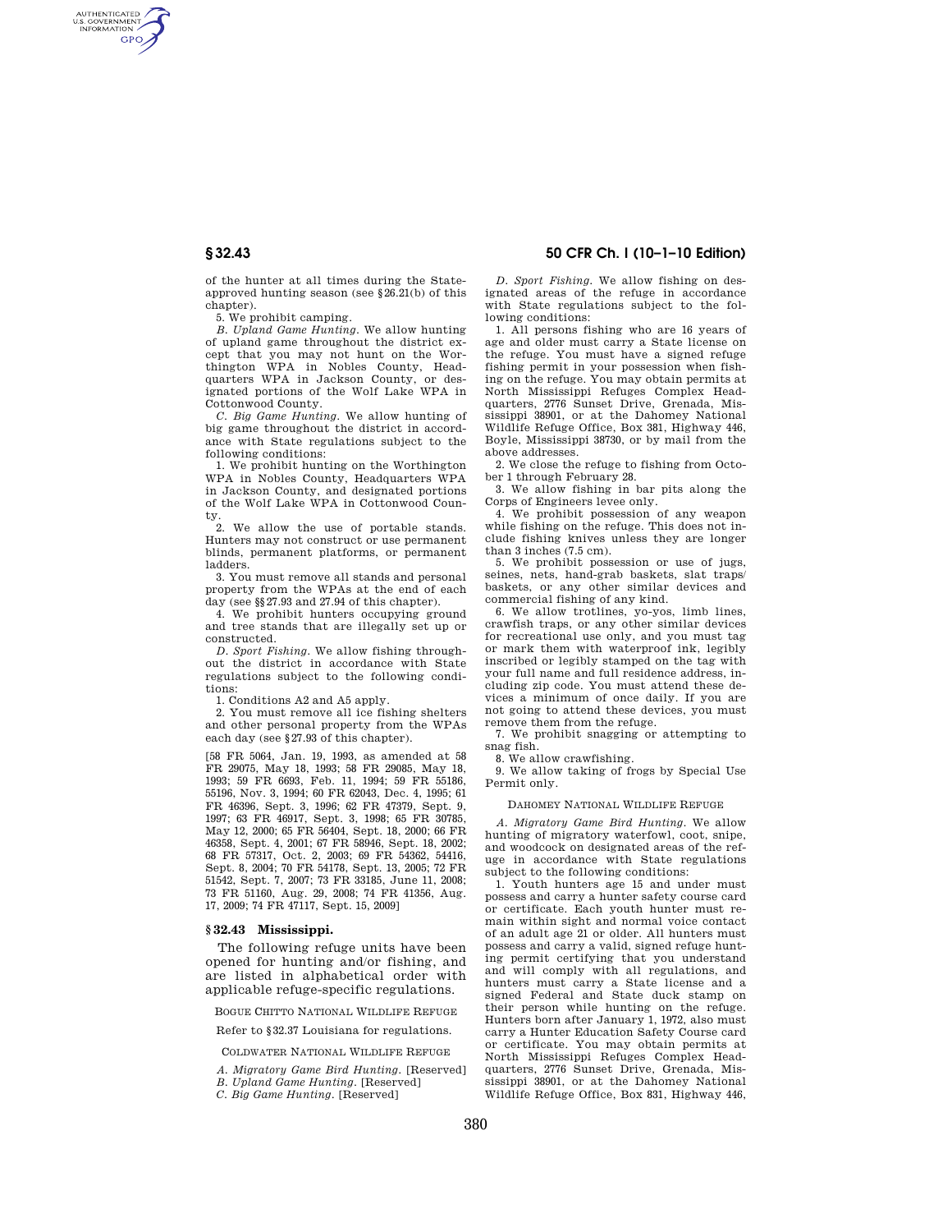AUTHENTICATED<br>U.S. GOVERNMENT<br>INFORMATION **GPO** 

> of the hunter at all times during the Stateapproved hunting season (see §26.21(b) of this chapter).

5. We prohibit camping.

*B. Upland Game Hunting.* We allow hunting of upland game throughout the district except that you may not hunt on the Worthington WPA in Nobles County, Headquarters WPA in Jackson County, or designated portions of the Wolf Lake WPA in Cottonwood County.

*C. Big Game Hunting.* We allow hunting of big game throughout the district in accordance with State regulations subject to the following conditions:

1. We prohibit hunting on the Worthington WPA in Nobles County, Headquarters WPA in Jackson County, and designated portions of the Wolf Lake WPA in Cottonwood Coun-

ty. 2. We allow the use of portable stands. Hunters may not construct or use permanent blinds, permanent platforms, or permanent ladders.

3. You must remove all stands and personal property from the WPAs at the end of each day (see §§27.93 and 27.94 of this chapter).

4. We prohibit hunters occupying ground and tree stands that are illegally set up or constructed.

*D. Sport Fishing.* We allow fishing throughout the district in accordance with State regulations subject to the following conditions:

1. Conditions A2 and A5 apply.

2. You must remove all ice fishing shelters and other personal property from the WPAs each day (see §27.93 of this chapter).

[58 FR 5064, Jan. 19, 1993, as amended at 58 FR 29075, May 18, 1993; 58 FR 29085, May 18, 1993; 59 FR 6693, Feb. 11, 1994; 59 FR 55186, 55196, Nov. 3, 1994; 60 FR 62043, Dec. 4, 1995; 61 FR 46396, Sept. 3, 1996; 62 FR 47379, Sept. 9, 1997; 63 FR 46917, Sept. 3, 1998; 65 FR 30785, May 12, 2000; 65 FR 56404, Sept. 18, 2000; 66 FR 46358, Sept. 4, 2001; 67 FR 58946, Sept. 18, 2002; 68 FR 57317, Oct. 2, 2003; 69 FR 54362, 54416, Sept. 8, 2004; 70 FR 54178, Sept. 13, 2005; 72 FR 51542, Sept. 7, 2007; 73 FR 33185, June 11, 2008; 73 FR 51160, Aug. 29, 2008; 74 FR 41356, Aug. 17, 2009; 74 FR 47117, Sept. 15, 2009]

### **§ 32.43 Mississippi.**

The following refuge units have been opened for hunting and/or fishing, and are listed in alphabetical order with applicable refuge-specific regulations.

BOGUE CHITTO NATIONAL WILDLIFE REFUGE

Refer to §32.37 Louisiana for regulations.

COLDWATER NATIONAL WILDLIFE REFUGE

*A. Migratory Game Bird Hunting.* [Reserved]

*B. Upland Game Hunting.* [Reserved]

*C. Big Game Hunting.* [Reserved]

*D. Sport Fishing.* We allow fishing on designated areas of the refuge in accordance with State regulations subject to the following conditions:

1. All persons fishing who are 16 years of age and older must carry a State license on the refuge. You must have a signed refuge fishing permit in your possession when fishing on the refuge. You may obtain permits at North Mississippi Refuges Complex Headquarters, 2776 Sunset Drive, Grenada, Mississippi 38901, or at the Dahomey National Wildlife Refuge Office, Box 381, Highway 446, Boyle, Mississippi 38730, or by mail from the above addresses.

2. We close the refuge to fishing from October 1 through February 28.

3. We allow fishing in bar pits along the Corps of Engineers levee only.

4. We prohibit possession of any weapon while fishing on the refuge. This does not include fishing knives unless they are longer than 3 inches (7.5 cm).

5. We prohibit possession or use of jugs, seines, nets, hand-grab baskets, slat traps/ baskets, or any other similar devices and commercial fishing of any kind.

6. We allow trotlines, yo-yos, limb lines, crawfish traps, or any other similar devices for recreational use only, and you must tag or mark them with waterproof ink, legibly inscribed or legibly stamped on the tag with your full name and full residence address, including zip code. You must attend these devices a minimum of once daily. If you are not going to attend these devices, you must remove them from the refuge.

7. We prohibit snagging or attempting to snag fish.

8. We allow crawfishing.

9. We allow taking of frogs by Special Use Permit only.

### DAHOMEY NATIONAL WILDLIFE REFUGE

*A. Migratory Game Bird Hunting.* We allow hunting of migratory waterfowl, coot, snipe, and woodcock on designated areas of the refuge in accordance with State regulations subject to the following conditions:

1. Youth hunters age 15 and under must possess and carry a hunter safety course card or certificate. Each youth hunter must remain within sight and normal voice contact of an adult age 21 or older. All hunters must possess and carry a valid, signed refuge hunting permit certifying that you understand and will comply with all regulations, and hunters must carry a State license and a signed Federal and State duck stamp on their person while hunting on the refuge. Hunters born after January 1, 1972, also must carry a Hunter Education Safety Course card or certificate. You may obtain permits at North Mississippi Refuges Complex Headquarters, 2776 Sunset Drive, Grenada, Mississippi 38901, or at the Dahomey National Wildlife Refuge Office, Box 831, Highway 446,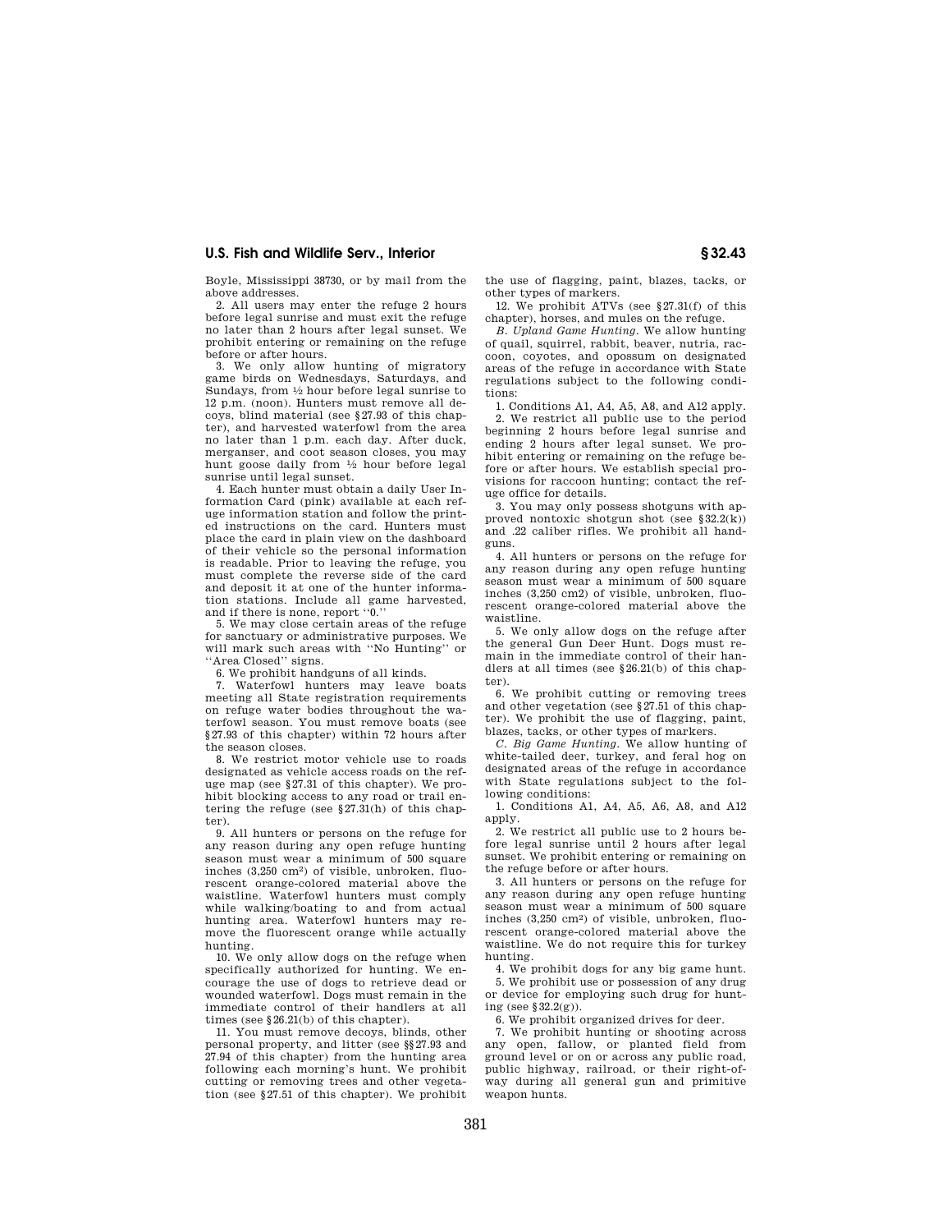Boyle, Mississippi 38730, or by mail from the above addresses.

2. All users may enter the refuge 2 hours before legal sunrise and must exit the refuge no later than 2 hours after legal sunset. We prohibit entering or remaining on the refuge before or after hours.

3. We only allow hunting of migratory game birds on Wednesdays, Saturdays, and Sundays, from 1⁄2 hour before legal sunrise to 12 p.m. (noon). Hunters must remove all decoys, blind material (see §27.93 of this chapter), and harvested waterfowl from the area no later than 1 p.m. each day. After duck, merganser, and coot season closes, you may hunt goose daily from 1⁄2 hour before legal sunrise until legal sunset.

4. Each hunter must obtain a daily User Information Card (pink) available at each refuge information station and follow the printed instructions on the card. Hunters must place the card in plain view on the dashboard of their vehicle so the personal information is readable. Prior to leaving the refuge, you must complete the reverse side of the card and deposit it at one of the hunter information stations. Include all game harvested, and if there is none, report ''0.''

5. We may close certain areas of the refuge for sanctuary or administrative purposes. We will mark such areas with ''No Hunting'' or ''Area Closed'' signs.

6. We prohibit handguns of all kinds.

7. Waterfowl hunters may leave boats meeting all State registration requirements on refuge water bodies throughout the waterfowl season. You must remove boats (see §27.93 of this chapter) within 72 hours after the season closes.

8. We restrict motor vehicle use to roads designated as vehicle access roads on the refuge map (see §27.31 of this chapter). We prohibit blocking access to any road or trail entering the refuge (see §27.31(h) of this chapter).

9. All hunters or persons on the refuge for any reason during any open refuge hunting season must wear a minimum of 500 square inches (3,250 cm2) of visible, unbroken, fluorescent orange-colored material above the waistline. Waterfowl hunters must comply while walking/boating to and from actual hunting area. Waterfowl hunters may remove the fluorescent orange while actually hunting.

10. We only allow dogs on the refuge when specifically authorized for hunting. We encourage the use of dogs to retrieve dead or wounded waterfowl. Dogs must remain in the immediate control of their handlers at all times (see §26.21(b) of this chapter).

11. You must remove decoys, blinds, other personal property, and litter (see §§27.93 and 27.94 of this chapter) from the hunting area following each morning's hunt. We prohibit cutting or removing trees and other vegetation (see §27.51 of this chapter). We prohibit the use of flagging, paint, blazes, tacks, or other types of markers.

12. We prohibit ATVs (see §27.31(f) of this chapter), horses, and mules on the refuge.

*B. Upland Game Hunting.* We allow hunting of quail, squirrel, rabbit, beaver, nutria, raccoon, coyotes, and opossum on designated areas of the refuge in accordance with State regulations subject to the following conditions:

1. Conditions A1, A4, A5, A8, and A12 apply. 2. We restrict all public use to the period beginning 2 hours before legal sunrise and ending 2 hours after legal sunset. We prohibit entering or remaining on the refuge before or after hours. We establish special provisions for raccoon hunting; contact the refuge office for details.

3. You may only possess shotguns with approved nontoxic shotgun shot (see §32.2(k)) and .22 caliber rifles. We prohibit all handguns.

4. All hunters or persons on the refuge for any reason during any open refuge hunting season must wear a minimum of 500 square inches (3,250 cm2) of visible, unbroken, fluorescent orange-colored material above the waistline.

5. We only allow dogs on the refuge after the general Gun Deer Hunt. Dogs must remain in the immediate control of their handlers at all times (see §26.21(b) of this chapter).

6. We prohibit cutting or removing trees and other vegetation (see §27.51 of this chapter). We prohibit the use of flagging, paint, blazes, tacks, or other types of markers.

*C. Big Game Hunting.* We allow hunting of white-tailed deer, turkey, and feral hog on designated areas of the refuge in accordance with State regulations subject to the following conditions:

1. Conditions A1, A4, A5, A6, A8, and A12 apply.

2. We restrict all public use to 2 hours before legal sunrise until 2 hours after legal sunset. We prohibit entering or remaining on the refuge before or after hours.

3. All hunters or persons on the refuge for any reason during any open refuge hunting season must wear a minimum of 500 square inches (3,250 cm2) of visible, unbroken, fluorescent orange-colored material above the waistline. We do not require this for turkey hunting.

4. We prohibit dogs for any big game hunt.

5. We prohibit use or possession of any drug or device for employing such drug for hunting (see §32.2(g)).

6. We prohibit organized drives for deer.

7. We prohibit hunting or shooting across any open, fallow, or planted field from ground level or on or across any public road, public highway, railroad, or their right-ofway during all general gun and primitive weapon hunts.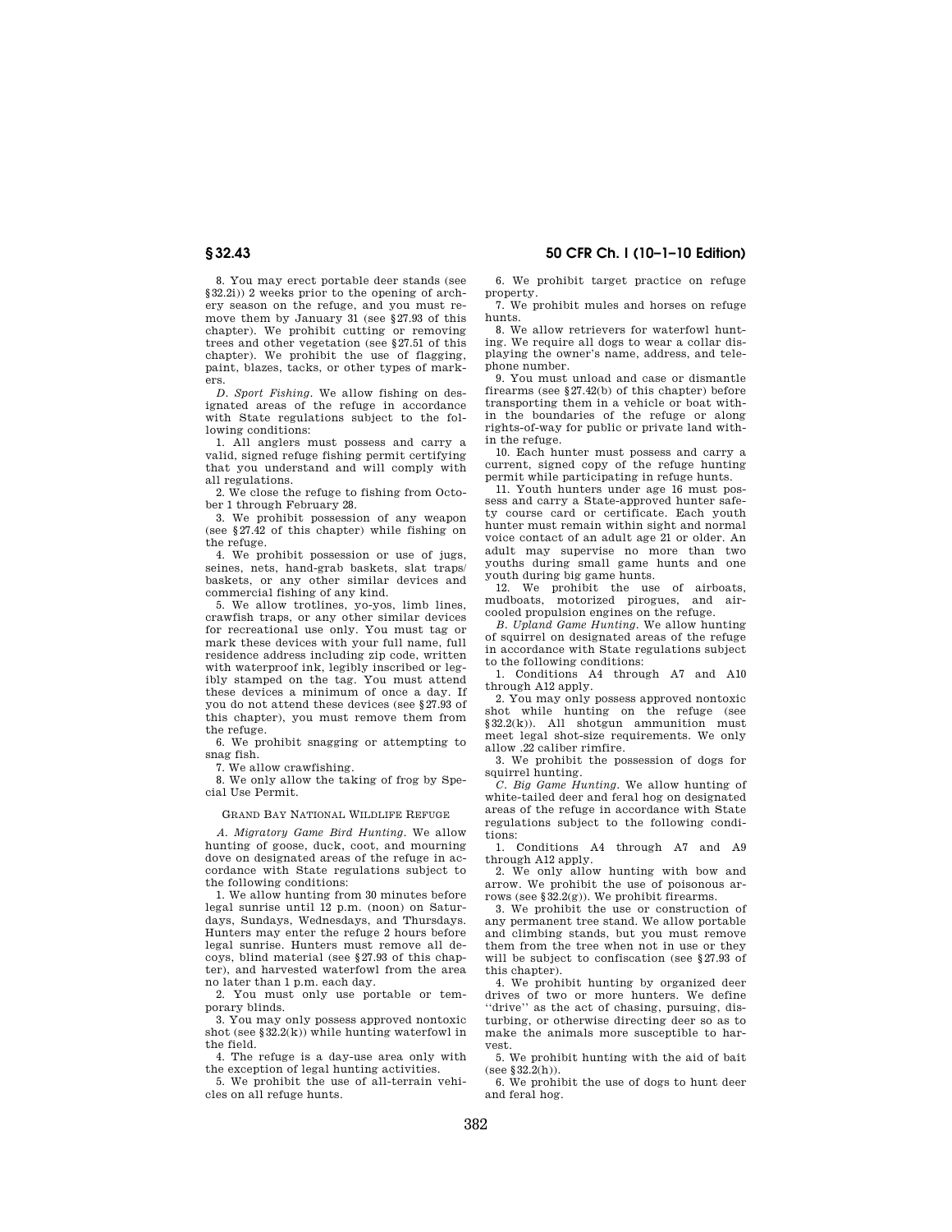8. You may erect portable deer stands (see §32.2i)) 2 weeks prior to the opening of archery season on the refuge, and you must remove them by January 31 (see §27.93 of this chapter). We prohibit cutting or removing trees and other vegetation (see §27.51 of this chapter). We prohibit the use of flagging, paint, blazes, tacks, or other types of markers.

*D. Sport Fishing.* We allow fishing on designated areas of the refuge in accordance with State regulations subject to the following conditions:

1. All anglers must possess and carry a valid, signed refuge fishing permit certifying that you understand and will comply with all regulations.

2. We close the refuge to fishing from October 1 through February 28.

3. We prohibit possession of any weapon (see §27.42 of this chapter) while fishing on the refuge.

4. We prohibit possession or use of jugs, seines, nets, hand-grab baskets, slat traps/ baskets, or any other similar devices and commercial fishing of any kind.

5. We allow trotlines, yo-yos, limb lines, crawfish traps, or any other similar devices for recreational use only. You must tag or mark these devices with your full name, full residence address including zip code, written with waterproof ink, legibly inscribed or legibly stamped on the tag. You must attend these devices a minimum of once a day. If you do not attend these devices (see §27.93 of this chapter), you must remove them from the refuge.

6. We prohibit snagging or attempting to snag fish.

7. We allow crawfishing.

8. We only allow the taking of frog by Special Use Permit.

## GRAND BAY NATIONAL WILDLIFE REFUGE

*A. Migratory Game Bird Hunting.* We allow hunting of goose, duck, coot, and mourning dove on designated areas of the refuge in accordance with State regulations subject to the following conditions:

1. We allow hunting from 30 minutes before legal sunrise until 12 p.m. (noon) on Saturdays, Sundays, Wednesdays, and Thursdays. Hunters may enter the refuge 2 hours before legal sunrise. Hunters must remove all decoys, blind material (see §27.93 of this chapter), and harvested waterfowl from the area no later than 1 p.m. each day.

2. You must only use portable or temporary blinds.

3. You may only possess approved nontoxic shot (see §32.2(k)) while hunting waterfowl in the field.

4. The refuge is a day-use area only with the exception of legal hunting activities.

5. We prohibit the use of all-terrain vehicles on all refuge hunts.

**§ 32.43 50 CFR Ch. I (10–1–10 Edition)** 

6. We prohibit target practice on refuge property.

7. We prohibit mules and horses on refuge hunts.

8. We allow retrievers for waterfowl hunting. We require all dogs to wear a collar displaying the owner's name, address, and telephone number.

9. You must unload and case or dismantle firearms (see  $\S 27.42(b)$  of this chapter) before transporting them in a vehicle or boat within the boundaries of the refuge or along rights-of-way for public or private land within the refuge.

10. Each hunter must possess and carry a current, signed copy of the refuge hunting permit while participating in refuge hunts.

11. Youth hunters under age 16 must possess and carry a State-approved hunter safety course card or certificate. Each youth hunter must remain within sight and normal voice contact of an adult age 21 or older. An adult may supervise no more than two youths during small game hunts and one youth during big game hunts.

12. We prohibit the use of airboats, mudboats, motorized pirogues, and aircooled propulsion engines on the refuge.

*B. Upland Game Hunting.* We allow hunting of squirrel on designated areas of the refuge in accordance with State regulations subject to the following conditions:

1. Conditions A4 through A7 and A10 through A12 apply.

2. You may only possess approved nontoxic shot while hunting on the refuge (see  $§32.2(k)$ ). All shotgun ammunition must meet legal shot-size requirements. We only allow .22 caliber rimfire.

3. We prohibit the possession of dogs for squirrel hunting.

*C. Big Game Hunting.* We allow hunting of white-tailed deer and feral hog on designated areas of the refuge in accordance with State regulations subject to the following conditions:

1. Conditions A4 through A7 and A9 through A12 apply.

2. We only allow hunting with bow and arrow. We prohibit the use of poisonous arrows (see §32.2(g)). We prohibit firearms.

3. We prohibit the use or construction of any permanent tree stand. We allow portable and climbing stands, but you must remove them from the tree when not in use or they will be subject to confiscation (see §27.93 of this chapter).

4. We prohibit hunting by organized deer drives of two or more hunters. We define ''drive'' as the act of chasing, pursuing, disturbing, or otherwise directing deer so as to make the animals more susceptible to harvest.

5. We prohibit hunting with the aid of bait (see §32.2(h)).

6. We prohibit the use of dogs to hunt deer and feral hog.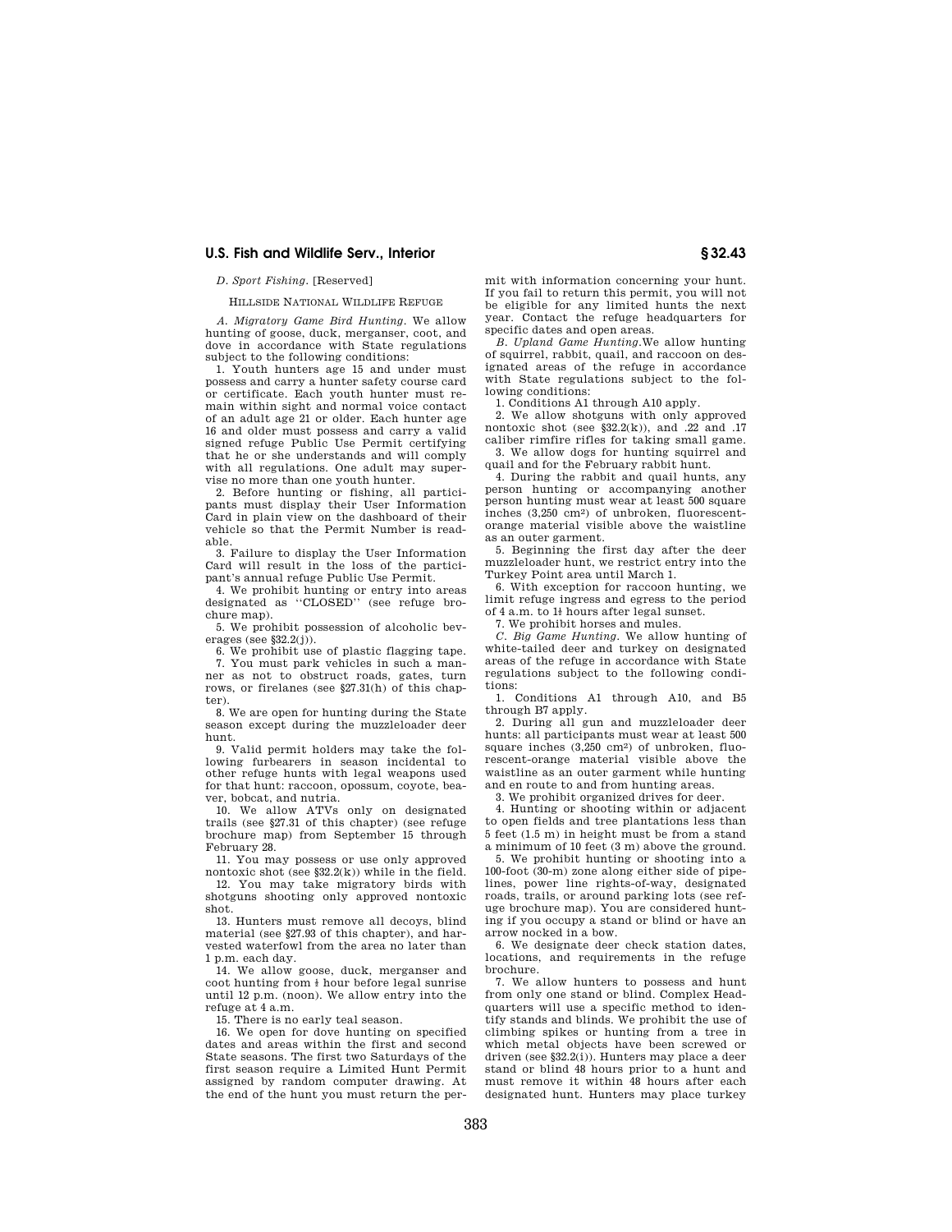# *D. Sport Fishing.* [Reserved]

#### HILLSIDE NATIONAL WILDLIFE REFUGE

*A. Migratory Game Bird Hunting*. We allow hunting of goose, duck, merganser, coot, and dove in accordance with State regulations subject to the following conditions:

1. Youth hunters age 15 and under must possess and carry a hunter safety course card or certificate. Each youth hunter must remain within sight and normal voice contact of an adult age 21 or older. Each hunter age 16 and older must possess and carry a valid signed refuge Public Use Permit certifying that he or she understands and will comply with all regulations. One adult may supervise no more than one youth hunter.

2. Before hunting or fishing, all participants must display their User Information Card in plain view on the dashboard of their vehicle so that the Permit Number is readable.

3. Failure to display the User Information Card will result in the loss of the participant's annual refuge Public Use Permit.

4. We prohibit hunting or entry into areas designated as ''CLOSED'' (see refuge brochure map).

5. We prohibit possession of alcoholic beverages (see §32.2(j)).

6. We prohibit use of plastic flagging tape. 7. You must park vehicles in such a man-

ner as not to obstruct roads, gates, turn rows, or firelanes (see §27.31(h) of this chapter).

8. We are open for hunting during the State season except during the muzzleloader deer hunt.

9. Valid permit holders may take the following furbearers in season incidental to other refuge hunts with legal weapons used for that hunt: raccoon, opossum, coyote, beaver, bobcat, and nutria.

10. We allow ATVs only on designated trails (see §27.31 of this chapter) (see refuge brochure map) from September 15 through February 28.

11. You may possess or use only approved nontoxic shot (see §32.2(k)) while in the field.

12. You may take migratory birds with shotguns shooting only approved nontoxic shot.

13. Hunters must remove all decoys, blind material (see §27.93 of this chapter), and harvested waterfowl from the area no later than 1 p.m. each day.

14. We allow goose, duck, merganser and coot hunting from  $\frac{1}{2}$  hour before legal sunrise until 12 p.m. (noon). We allow entry into the refuge at 4 a.m.

15. There is no early teal season.

16. We open for dove hunting on specified dates and areas within the first and second State seasons. The first two Saturdays of the first season require a Limited Hunt Permit assigned by random computer drawing. At the end of the hunt you must return the per-

mit with information concerning your hunt. If you fail to return this permit, you will not be eligible for any limited hunts the next year. Contact the refuge headquarters for specific dates and open areas.

*B. Upland Game Hunting.*We allow hunting of squirrel, rabbit, quail, and raccoon on designated areas of the refuge in accordance with State regulations subject to the following conditions:

1. Conditions A1 through A10 apply.

2. We allow shotguns with only approved nontoxic shot (see  $\S 32.2(k)$ ), and .22 and .17 caliber rimfire rifles for taking small game. 3. We allow dogs for hunting squirrel and

quail and for the February rabbit hunt.

4. During the rabbit and quail hunts, any person hunting or accompanying another person hunting must wear at least 500 square inches (3,250 cm2) of unbroken, fluorescentorange material visible above the waistline as an outer garment.

5. Beginning the first day after the deer muzzleloader hunt, we restrict entry into the Turkey Point area until March 1.

6. With exception for raccoon hunting, we limit refuge ingress and egress to the period of 4 a.m. to  $1\frac{1}{2}$  hours after legal sunset.

7. We prohibit horses and mules.

*C. Big Game Hunting.* We allow hunting of white-tailed deer and turkey on designated areas of the refuge in accordance with State regulations subject to the following conditions:

1. Conditions A1 through A10, and B5 through B7 apply.

2. During all gun and muzzleloader deer hunts: all participants must wear at least 500 square inches (3,250 cm2) of unbroken, fluorescent-orange material visible above the waistline as an outer garment while hunting and en route to and from hunting areas.

3. We prohibit organized drives for deer.

4. Hunting or shooting within or adjacent to open fields and tree plantations less than 5 feet (1.5 m) in height must be from a stand a minimum of 10 feet (3 m) above the ground.

5. We prohibit hunting or shooting into a 100-foot (30-m) zone along either side of pipelines, power line rights-of-way, designated roads, trails, or around parking lots (see refuge brochure map). You are considered hunting if you occupy a stand or blind or have an arrow nocked in a bow.

6. We designate deer check station dates, locations, and requirements in the refuge brochure.

7. We allow hunters to possess and hunt from only one stand or blind. Complex Headquarters will use a specific method to identify stands and blinds. We prohibit the use of climbing spikes or hunting from a tree in which metal objects have been screwed or driven (see §32.2(i)). Hunters may place a deer stand or blind 48 hours prior to a hunt and must remove it within 48 hours after each designated hunt. Hunters may place turkey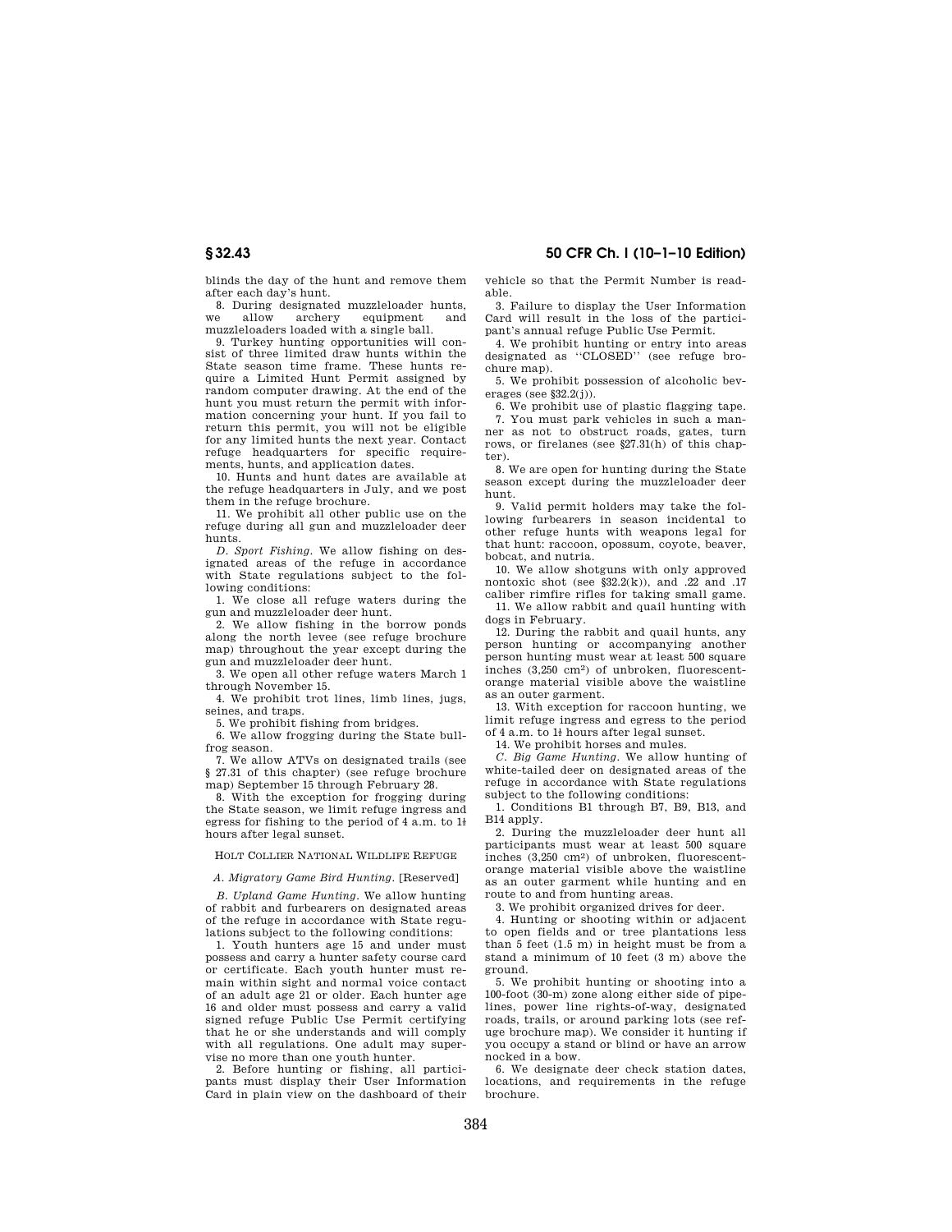blinds the day of the hunt and remove them

after each day's hunt. 8. During designated muzzleloader hunts,<br>e allow archery equipment and we allow archery equipment and

muzzleloaders loaded with a single ball. 9. Turkey hunting opportunities will con-

sist of three limited draw hunts within the State season time frame. These hunts require a Limited Hunt Permit assigned by random computer drawing. At the end of the hunt you must return the permit with information concerning your hunt. If you fail to return this permit, you will not be eligible for any limited hunts the next year. Contact refuge headquarters for specific requirements, hunts, and application dates.

10. Hunts and hunt dates are available at the refuge headquarters in July, and we post them in the refuge brochure.

11. We prohibit all other public use on the refuge during all gun and muzzleloader deer hunts.

*D. Sport Fishing.* We allow fishing on designated areas of the refuge in accordance with State regulations subject to the following conditions:

1. We close all refuge waters during the gun and muzzleloader deer hunt.

2. We allow fishing in the borrow ponds along the north levee (see refuge brochure map) throughout the year except during the gun and muzzleloader deer hunt.

3. We open all other refuge waters March 1 through November 15.

4. We prohibit trot lines, limb lines, jugs, seines, and traps.

5. We prohibit fishing from bridges.

6. We allow frogging during the State bullfrog season. 7. We allow ATVs on designated trails (see

§ 27.31 of this chapter) (see refuge brochure map) September 15 through February 28.

8. With the exception for frogging during the State season, we limit refuge ingress and egress for fishing to the period of 4 a.m. to  $1\frac{1}{2}$ hours after legal sunset.

## HOLT COLLIER NATIONAL WILDLIFE REFUGE

### *A. Migratory Game Bird Hunting*. [Reserved]

*B. Upland Game Hunting*. We allow hunting of rabbit and furbearers on designated areas of the refuge in accordance with State regulations subject to the following conditions:

1. Youth hunters age 15 and under must possess and carry a hunter safety course card or certificate. Each youth hunter must remain within sight and normal voice contact of an adult age 21 or older. Each hunter age 16 and older must possess and carry a valid signed refuge Public Use Permit certifying that he or she understands and will comply with all regulations. One adult may supervise no more than one youth hunter.

2. Before hunting or fishing, all participants must display their User Information Card in plain view on the dashboard of their vehicle so that the Permit Number is readable.

3. Failure to display the User Information Card will result in the loss of the participant's annual refuge Public Use Permit.

4. We prohibit hunting or entry into areas designated as ''CLOSED'' (see refuge brochure map).

5. We prohibit possession of alcoholic beverages (see §32.2(j)).

6. We prohibit use of plastic flagging tape. 7. You must park vehicles in such a manner as not to obstruct roads, gates, turn rows, or firelanes (see §27.31(h) of this chapter).

8. We are open for hunting during the State season except during the muzzleloader deer hunt.

9. Valid permit holders may take the following furbearers in season incidental to other refuge hunts with weapons legal for that hunt: raccoon, opossum, coyote, beaver, bobcat, and nutria.

10. We allow shotguns with only approved nontoxic shot (see §32.2(k)), and .22 and .17 caliber rimfire rifles for taking small game.

11. We allow rabbit and quail hunting with dogs in February.

12. During the rabbit and quail hunts, any person hunting or accompanying another person hunting must wear at least 500 square inches (3,250 cm2) of unbroken, fluorescentorange material visible above the waistline as an outer garment.

13. With exception for raccoon hunting, we limit refuge ingress and egress to the period of  $4 \text{ a.m.}$  to  $1\frac{1}{2}$  hours after legal sunset.

14. We prohibit horses and mules.

*C. Big Game Hunting*. We allow hunting of white-tailed deer on designated areas of the refuge in accordance with State regulations subject to the following conditions:

1. Conditions B1 through B7, B9, B13, and B14 apply.

2. During the muzzleloader deer hunt all participants must wear at least 500 square inches (3,250 cm2) of unbroken, fluorescentorange material visible above the waistline as an outer garment while hunting and en route to and from hunting areas.

3. We prohibit organized drives for deer.

4. Hunting or shooting within or adjacent to open fields and or tree plantations less than 5 feet (1.5 m) in height must be from a stand a minimum of 10 feet (3 m) above the ground.

5. We prohibit hunting or shooting into a 100-foot (30-m) zone along either side of pipelines, power line rights-of-way, designated roads, trails, or around parking lots (see refuge brochure map). We consider it hunting if you occupy a stand or blind or have an arrow nocked in a bow.

6. We designate deer check station dates, locations, and requirements in the refuge brochure.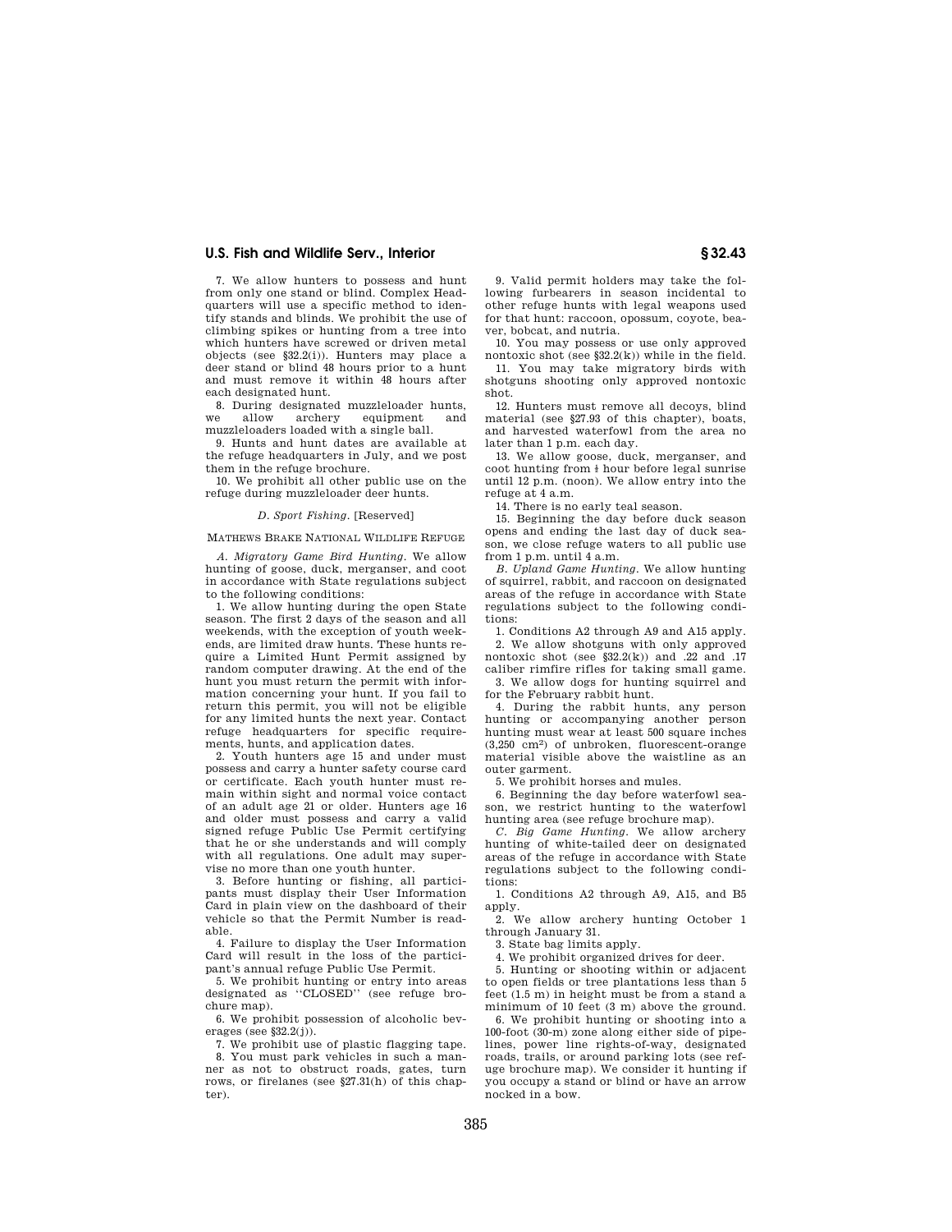7. We allow hunters to possess and hunt from only one stand or blind. Complex Headquarters will use a specific method to identify stands and blinds. We prohibit the use of climbing spikes or hunting from a tree into which hunters have screwed or driven metal objects (see §32.2(i)). Hunters may place a deer stand or blind 48 hours prior to a hunt and must remove it within 48 hours after each designated hunt.

8. During designated muzzleloader hunts, we allow archery equipment and muzzleloaders loaded with a single ball.

9. Hunts and hunt dates are available at the refuge headquarters in July, and we post them in the refuge brochure.

10. We prohibit all other public use on the refuge during muzzleloader deer hunts.

### *D. Sport Fishing*. [Reserved]

### MATHEWS BRAKE NATIONAL WILDLIFE REFUGE

*A. Migratory Game Bird Hunting*. We allow hunting of goose, duck, merganser, and coot in accordance with State regulations subject to the following conditions:

1. We allow hunting during the open State season. The first 2 days of the season and all weekends, with the exception of youth weekends, are limited draw hunts. These hunts require a Limited Hunt Permit assigned by random computer drawing. At the end of the hunt you must return the permit with information concerning your hunt. If you fail to return this permit, you will not be eligible for any limited hunts the next year. Contact refuge headquarters for specific requirements, hunts, and application dates.

2. Youth hunters age 15 and under must possess and carry a hunter safety course card or certificate. Each youth hunter must remain within sight and normal voice contact of an adult age 21 or older. Hunters age 16 and older must possess and carry a valid signed refuge Public Use Permit certifying that he or she understands and will comply with all regulations. One adult may supervise no more than one youth hunter.

3. Before hunting or fishing, all participants must display their User Information Card in plain view on the dashboard of their vehicle so that the Permit Number is readable.

4. Failure to display the User Information Card will result in the loss of the participant's annual refuge Public Use Permit.

5. We prohibit hunting or entry into areas designated as ''CLOSED'' (see refuge brochure map).

6. We prohibit possession of alcoholic beverages (see  $$32.2(j)$ ).

7. We prohibit use of plastic flagging tape. 8. You must park vehicles in such a manner as not to obstruct roads, gates, turn rows, or firelanes (see §27.31(h) of this chapter).

9. Valid permit holders may take the following furbearers in season incidental to other refuge hunts with legal weapons used for that hunt: raccoon, opossum, coyote, beaver, bobcat, and nutria.

10. You may possess or use only approved nontoxic shot (see §32.2(k)) while in the field.

11. You may take migratory birds with shotguns shooting only approved nontoxic shot.

12. Hunters must remove all decoys, blind material (see §27.93 of this chapter), boats, and harvested waterfowl from the area no later than 1 p.m. each day.

13. We allow goose, duck, merganser, and coot hunting from  $\frac{1}{2}$  hour before legal sunrise until 12 p.m. (noon). We allow entry into the refuge at 4 a.m.

14. There is no early teal season.

15. Beginning the day before duck season opens and ending the last day of duck season, we close refuge waters to all public use from 1 p.m. until 4 a.m.

*B. Upland Game Hunting*. We allow hunting of squirrel, rabbit, and raccoon on designated areas of the refuge in accordance with State regulations subject to the following conditions:

1. Conditions A2 through A9 and A15 apply.

2. We allow shotguns with only approved nontoxic shot (see  $$32.2(k)$ ) and .22 and .17 caliber rimfire rifles for taking small game.

3. We allow dogs for hunting squirrel and for the February rabbit hunt.

4. During the rabbit hunts, any person hunting or accompanying another person hunting must wear at least 500 square inches (3,250 cm2) of unbroken, fluorescent-orange material visible above the waistline as an outer garment.

5. We prohibit horses and mules.

6. Beginning the day before waterfowl season, we restrict hunting to the waterfowl hunting area (see refuge brochure map).

*C. Big Game Hunting*. We allow archery hunting of white-tailed deer on designated areas of the refuge in accordance with State regulations subject to the following conditions:

1. Conditions A2 through A9, A15, and B5 apply.

We allow archery hunting October 1 through January 31.

3. State bag limits apply.

4. We prohibit organized drives for deer.

5. Hunting or shooting within or adjacent to open fields or tree plantations less than 5 feet (1.5 m) in height must be from a stand a minimum of 10 feet (3 m) above the ground.

6. We prohibit hunting or shooting into a 100-foot (30-m) zone along either side of pipelines, power line rights-of-way, designated roads, trails, or around parking lots (see refuge brochure map). We consider it hunting if you occupy a stand or blind or have an arrow nocked in a bow.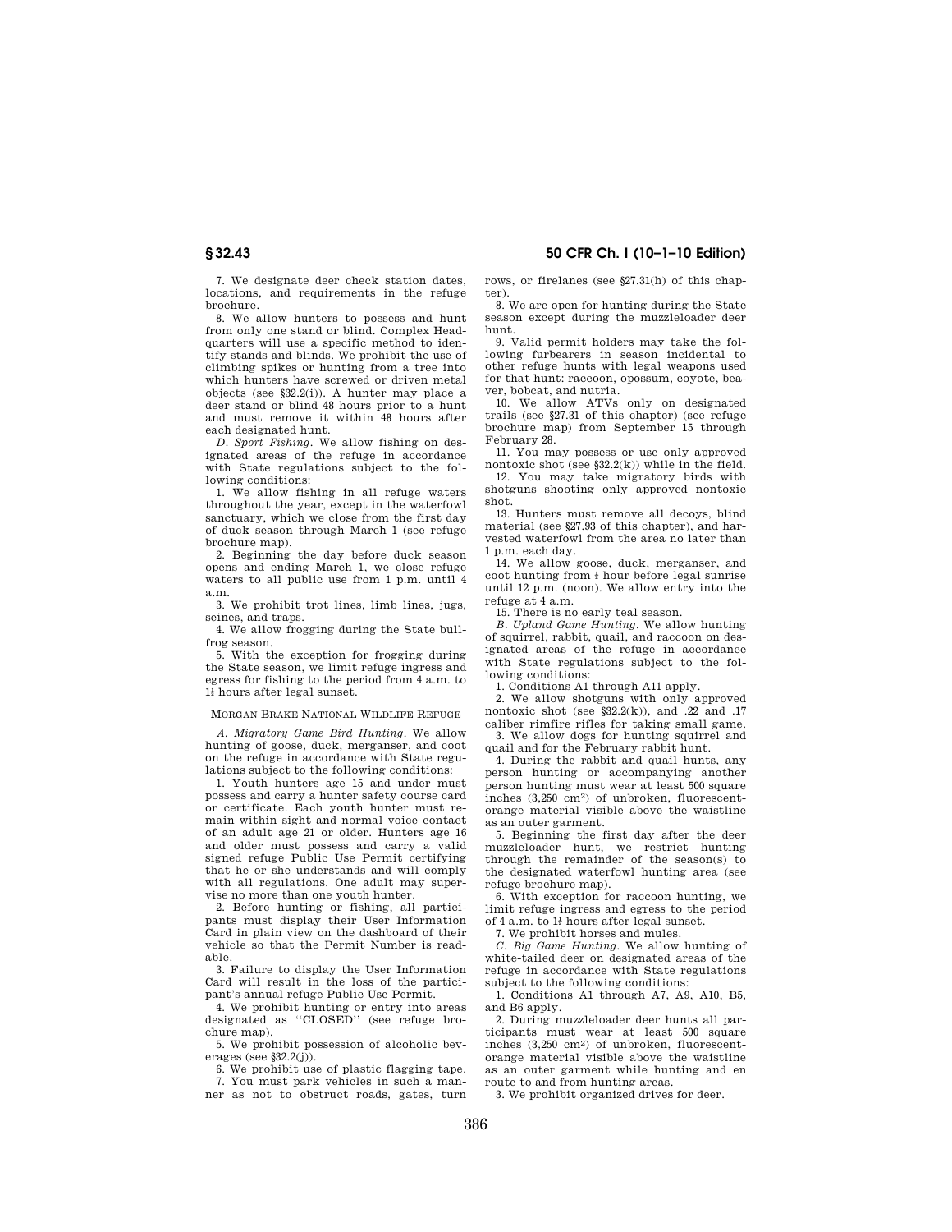**§ 32.43 50 CFR Ch. I (10–1–10 Edition)** 

7. We designate deer check station dates, locations, and requirements in the refuge brochure.

8. We allow hunters to possess and hunt from only one stand or blind. Complex Headquarters will use a specific method to identify stands and blinds. We prohibit the use of climbing spikes or hunting from a tree into which hunters have screwed or driven metal objects (see §32.2(i)). A hunter may place a deer stand or blind 48 hours prior to a hunt and must remove it within 48 hours after each designated hunt.

*D. Sport Fishing*. We allow fishing on designated areas of the refuge in accordance with State regulations subject to the following conditions:

1. We allow fishing in all refuge waters throughout the year, except in the waterfowl sanctuary, which we close from the first day of duck season through March 1 (see refuge brochure map).

2. Beginning the day before duck season opens and ending March 1, we close refuge waters to all public use from 1 p.m. until 4 a.m.

3. We prohibit trot lines, limb lines, jugs, seines, and traps.

4. We allow frogging during the State bullfrog season.

5. With the exception for frogging during the State season, we limit refuge ingress and egress for fishing to the period from 4 a.m. to  $1\!$  hours after legal sunset.

MORGAN BRAKE NATIONAL WILDLIFE REFUGE

*A. Migratory Game Bird Hunting*. We allow hunting of goose, duck, merganser, and coot on the refuge in accordance with State regulations subject to the following conditions:

1. Youth hunters age 15 and under must possess and carry a hunter safety course card or certificate. Each youth hunter must remain within sight and normal voice contact of an adult age 21 or older. Hunters age 16 and older must possess and carry a valid signed refuge Public Use Permit certifying that he or she understands and will comply with all regulations. One adult may supervise no more than one youth hunter.

2. Before hunting or fishing, all participants must display their User Information Card in plain view on the dashboard of their vehicle so that the Permit Number is readable.

3. Failure to display the User Information Card will result in the loss of the participant's annual refuge Public Use Permit.

4. We prohibit hunting or entry into areas designated as ''CLOSED'' (see refuge brochure map).

5. We prohibit possession of alcoholic beverages (see  $$32.2(i)$ ).

6. We prohibit use of plastic flagging tape. 7. You must park vehicles in such a manner as not to obstruct roads, gates, turn rows, or firelanes (see §27.31(h) of this chapter).

8. We are open for hunting during the State season except during the muzzleloader deer hunt.

9. Valid permit holders may take the following furbearers in season incidental to other refuge hunts with legal weapons used for that hunt: raccoon, opossum, coyote, beaver, bobcat, and nutria.

10. We allow ATVs only on designated trails (see §27.31 of this chapter) (see refuge brochure map) from September 15 through February 28.

11. You may possess or use only approved nontoxic shot (see §32.2(k)) while in the field. 12. You may take migratory birds with

shotguns shooting only approved nontoxic shot.

13. Hunters must remove all decoys, blind material (see §27.93 of this chapter), and harvested waterfowl from the area no later than 1 p.m. each day.

14. We allow goose, duck, merganser, and coot hunting from  $\frac{1}{2}$  hour before legal sunrise until 12 p.m. (noon). We allow entry into the refuge at 4 a.m.

15. There is no early teal season.

*B. Upland Game Hunting*. We allow hunting of squirrel, rabbit, quail, and raccoon on designated areas of the refuge in accordance with State regulations subject to the following conditions:

1. Conditions A1 through A11 apply.

2. We allow shotguns with only approved nontoxic shot (see  $$32.2(k)$ ), and .22 and .17 caliber rimfire rifles for taking small game.

3. We allow dogs for hunting squirrel and quail and for the February rabbit hunt.

4. During the rabbit and quail hunts, any person hunting or accompanying another person hunting must wear at least 500 square inches (3,250 cm2) of unbroken, fluorescentorange material visible above the waistline as an outer garment.

5. Beginning the first day after the deer muzzleloader hunt, we restrict hunting through the remainder of the season(s) to the designated waterfowl hunting area (see refuge brochure map).

6. With exception for raccoon hunting, we limit refuge ingress and egress to the period of 4 a.m. to  $1\frac{1}{2}$  hours after legal sunset.

7. We prohibit horses and mules.

*C. Big Game Hunting*. We allow hunting of white-tailed deer on designated areas of the refuge in accordance with State regulations subject to the following conditions:

1. Conditions A1 through A7, A9, A10, B5, and B6 apply.

2. During muzzleloader deer hunts all participants must wear at least 500 square inches (3,250 cm2) of unbroken, fluorescentorange material visible above the waistline as an outer garment while hunting and en route to and from hunting areas.

3. We prohibit organized drives for deer.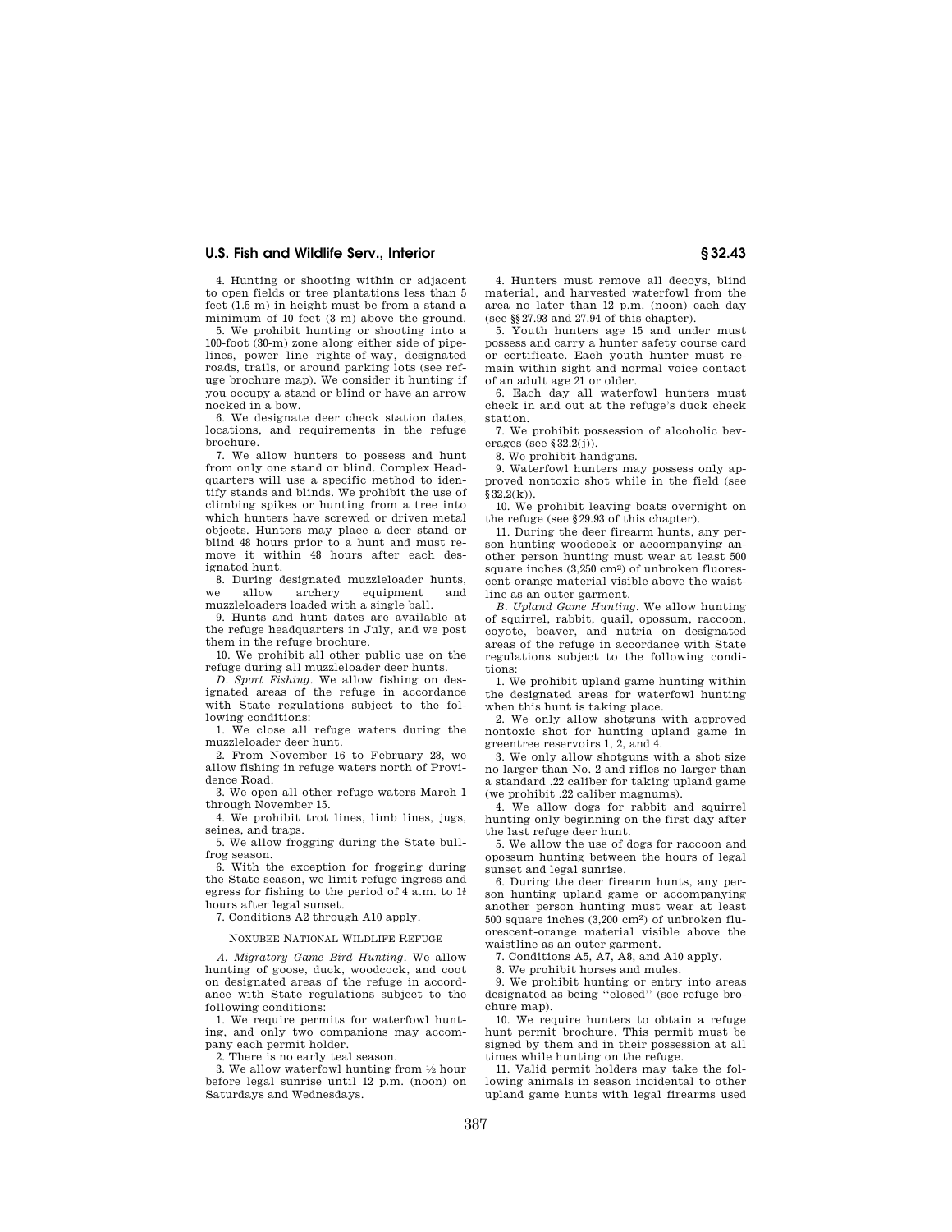4. Hunting or shooting within or adjacent to open fields or tree plantations less than 5 feet (1.5 m) in height must be from a stand a minimum of 10 feet (3 m) above the ground.

5. We prohibit hunting or shooting into a 100-foot (30-m) zone along either side of pipelines, power line rights-of-way, designated roads, trails, or around parking lots (see refuge brochure map). We consider it hunting if you occupy a stand or blind or have an arrow nocked in a bow.

6. We designate deer check station dates, locations, and requirements in the refuge brochure.

7. We allow hunters to possess and hunt from only one stand or blind. Complex Headquarters will use a specific method to identify stands and blinds. We prohibit the use of climbing spikes or hunting from a tree into which hunters have screwed or driven metal objects. Hunters may place a deer stand or blind 48 hours prior to a hunt and must remove it within 48 hours after each designated hunt.

8. During designated muzzleloader hunts,<br>e allow archery equipment and we allow archery equipment muzzleloaders loaded with a single ball.

9. Hunts and hunt dates are available at the refuge headquarters in July, and we post them in the refuge brochure.

10. We prohibit all other public use on the refuge during all muzzleloader deer hunts.

*D. Sport Fishing*. We allow fishing on designated areas of the refuge in accordance with State regulations subject to the following conditions:

1. We close all refuge waters during the muzzleloader deer hunt.

2. From November 16 to February 28, we allow fishing in refuge waters north of Providence Road.

3. We open all other refuge waters March 1 through November 15.

4. We prohibit trot lines, limb lines, jugs, seines, and traps.

5. We allow frogging during the State bullfrog season.

6. With the exception for frogging during the State season, we limit refuge ingress and egress for fishing to the period of 4 a.m. to  $1\frac{1}{2}$ hours after legal sunset.

7. Conditions A2 through A10 apply.

#### NOXUBEE NATIONAL WILDLIFE REFUGE

*A. Migratory Game Bird Hunting*. We allow hunting of goose, duck, woodcock, and coot on designated areas of the refuge in accordance with State regulations subject to the following conditions:

1. We require permits for waterfowl hunting, and only two companions may accompany each permit holder.

2. There is no early teal season.

3. We allow waterfowl hunting from 1⁄2 hour before legal sunrise until 12 p.m. (noon) on Saturdays and Wednesdays.

4. Hunters must remove all decoys, blind material, and harvested waterfowl from the area no later than 12 p.m. (noon) each day (see §§27.93 and 27.94 of this chapter).

5. Youth hunters age 15 and under must possess and carry a hunter safety course card or certificate. Each youth hunter must remain within sight and normal voice contact of an adult age 21 or older.

6. Each day all waterfowl hunters must check in and out at the refuge's duck check station.

7. We prohibit possession of alcoholic beverages (see  $$32.2(j)$ ).

8. We prohibit handguns.

9. Waterfowl hunters may possess only approved nontoxic shot while in the field (see §32.2(k)).

10. We prohibit leaving boats overnight on the refuge (see §29.93 of this chapter).

11. During the deer firearm hunts, any person hunting woodcock or accompanying another person hunting must wear at least 500 square inches (3.250 cm<sup>2</sup>) of unbroken fluorescent-orange material visible above the waistline as an outer garment.

*B. Upland Game Hunting*. We allow hunting of squirrel, rabbit, quail, opossum, raccoon, coyote, beaver, and nutria on designated areas of the refuge in accordance with State regulations subject to the following conditions:

1. We prohibit upland game hunting within the designated areas for waterfowl hunting when this hunt is taking place.

2. We only allow shotguns with approved nontoxic shot for hunting upland game in greentree reservoirs 1, 2, and 4.

3. We only allow shotguns with a shot size no larger than No. 2 and rifles no larger than a standard .22 caliber for taking upland game (we prohibit .22 caliber magnums).

4. We allow dogs for rabbit and squirrel hunting only beginning on the first day after the last refuge deer hunt.

5. We allow the use of dogs for raccoon and opossum hunting between the hours of legal sunset and legal sunrise.

6. During the deer firearm hunts, any person hunting upland game or accompanying another person hunting must wear at least 500 square inches (3,200 cm2) of unbroken fluorescent-orange material visible above the waistline as an outer garment.

7. Conditions A5, A7, A8, and A10 apply.

8. We prohibit horses and mules.

9. We prohibit hunting or entry into areas designated as being ''closed'' (see refuge brochure map).

10. We require hunters to obtain a refuge hunt permit brochure. This permit must be signed by them and in their possession at all times while hunting on the refuge.

11. Valid permit holders may take the following animals in season incidental to other upland game hunts with legal firearms used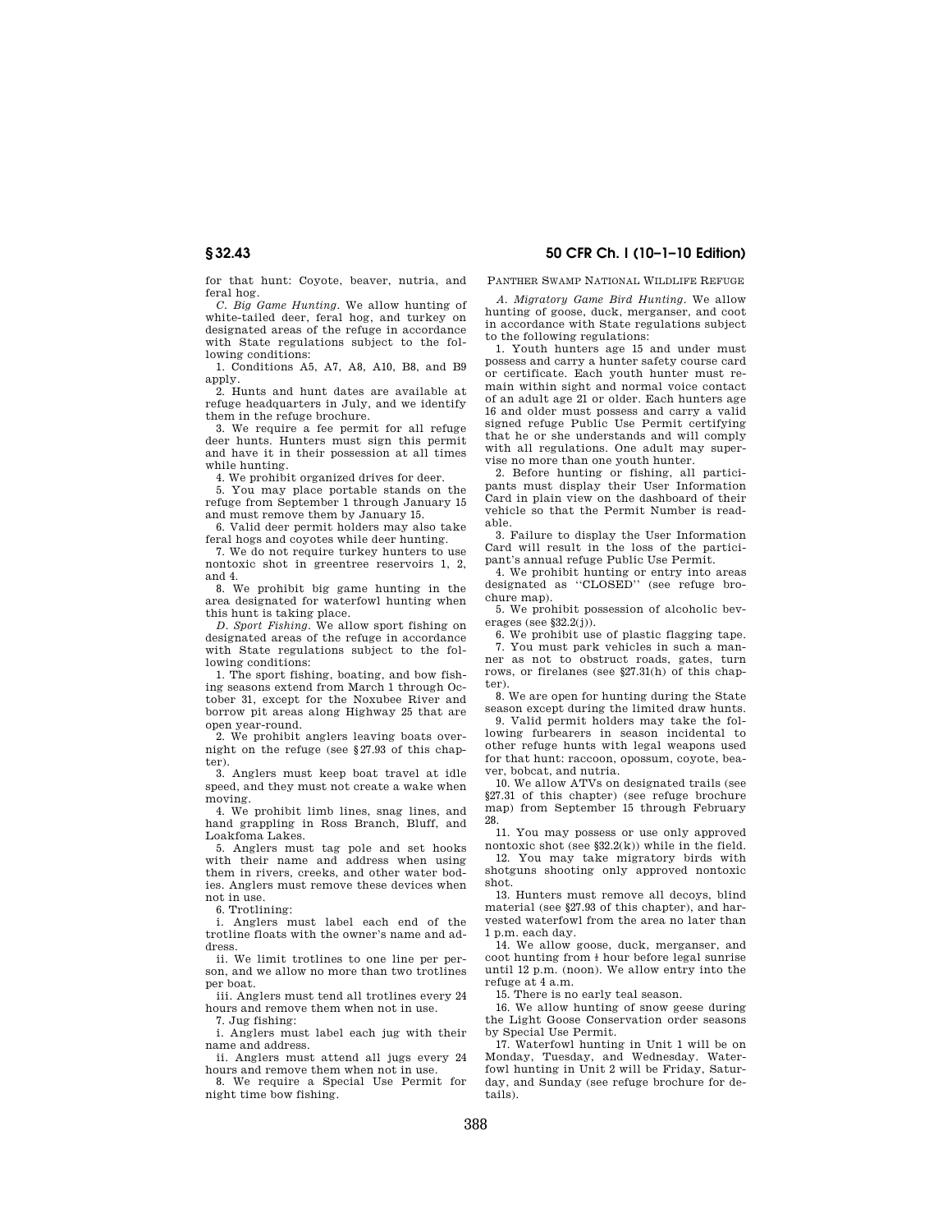for that hunt: Coyote, beaver, nutria, and feral hog.

*C. Big Game Hunting*. We allow hunting of white-tailed deer, feral hog, and turkey on designated areas of the refuge in accordance with State regulations subject to the following conditions:

1. Conditions A5, A7, A8, A10, B8, and B9 apply.

2. Hunts and hunt dates are available at refuge headquarters in July, and we identify them in the refuge brochure.

3. We require a fee permit for all refuge deer hunts. Hunters must sign this permit and have it in their possession at all times while hunting.

4. We prohibit organized drives for deer.

5. You may place portable stands on the refuge from September 1 through January 15 and must remove them by January 15.

6. Valid deer permit holders may also take feral hogs and coyotes while deer hunting.

7. We do not require turkey hunters to use nontoxic shot in greentree reservoirs 1, 2, and 4.

8. We prohibit big game hunting in the area designated for waterfowl hunting when this hunt is taking place.

*D. Sport Fishing.* We allow sport fishing on designated areas of the refuge in accordance with State regulations subject to the following conditions:

1. The sport fishing, boating, and bow fishing seasons extend from March 1 through October 31, except for the Noxubee River and borrow pit areas along Highway 25 that are open year-round.

2. We prohibit anglers leaving boats overnight on the refuge (see §27.93 of this chapter).

3. Anglers must keep boat travel at idle speed, and they must not create a wake when moving.

4. We prohibit limb lines, snag lines, and hand grappling in Ross Branch, Bluff, and Loakfoma Lakes.

5. Anglers must tag pole and set hooks with their name and address when using them in rivers, creeks, and other water bodies. Anglers must remove these devices when not in use.

6. Trotlining:

i. Anglers must label each end of the trotline floats with the owner's name and address.

ii. We limit trotlines to one line per person, and we allow no more than two trotlines per boat.

iii. Anglers must tend all trotlines every 24 hours and remove them when not in use.

7. Jug fishing:

i. Anglers must label each jug with their name and address.

ii. Anglers must attend all jugs every 24 hours and remove them when not in use.

8. We require a Special Use Permit for night time bow fishing.

PANTHER SWAMP NATIONAL WILDLIFE REFUGE

*A. Migratory Game Bird Hunting*. We allow hunting of goose, duck, merganser, and coot in accordance with State regulations subject to the following regulations:

1. Youth hunters age 15 and under must possess and carry a hunter safety course card or certificate. Each youth hunter must remain within sight and normal voice contact of an adult age 21 or older. Each hunters age 16 and older must possess and carry a valid signed refuge Public Use Permit certifying that he or she understands and will comply with all regulations. One adult may supervise no more than one youth hunter.

2. Before hunting or fishing, all participants must display their User Information Card in plain view on the dashboard of their vehicle so that the Permit Number is readable.

3. Failure to display the User Information Card will result in the loss of the participant's annual refuge Public Use Permit.

4. We prohibit hunting or entry into areas designated as ''CLOSED'' (see refuge brochure map).

5. We prohibit possession of alcoholic beverages (see §32.2(j)).

6. We prohibit use of plastic flagging tape.

7. You must park vehicles in such a manner as not to obstruct roads, gates, turn rows, or firelanes (see §27.31(h) of this chapter).

8. We are open for hunting during the State season except during the limited draw hunts. 9. Valid permit holders may take the fol-

lowing furbearers in season incidental to other refuge hunts with legal weapons used for that hunt: raccoon, opossum, coyote, beaver, bobcat, and nutria.

10. We allow ATVs on designated trails (see §27.31 of this chapter) (see refuge brochure map) from September 15 through February 28.

11. You may possess or use only approved nontoxic shot (see §32.2(k)) while in the field.

12. You may take migratory birds with shotguns shooting only approved nontoxic shot.

13. Hunters must remove all decoys, blind material (see §27.93 of this chapter), and harvested waterfowl from the area no later than 1 p.m. each day.

14. We allow goose, duck, merganser, and coot hunting from  $\frac{1}{2}$  hour before legal sunrise until 12 p.m. (noon). We allow entry into the refuge at 4 a.m.

15. There is no early teal season.

16. We allow hunting of snow geese during the Light Goose Conservation order seasons by Special Use Permit.

17. Waterfowl hunting in Unit 1 will be on Monday, Tuesday, and Wednesday. Waterfowl hunting in Unit 2 will be Friday, Saturday, and Sunday (see refuge brochure for details).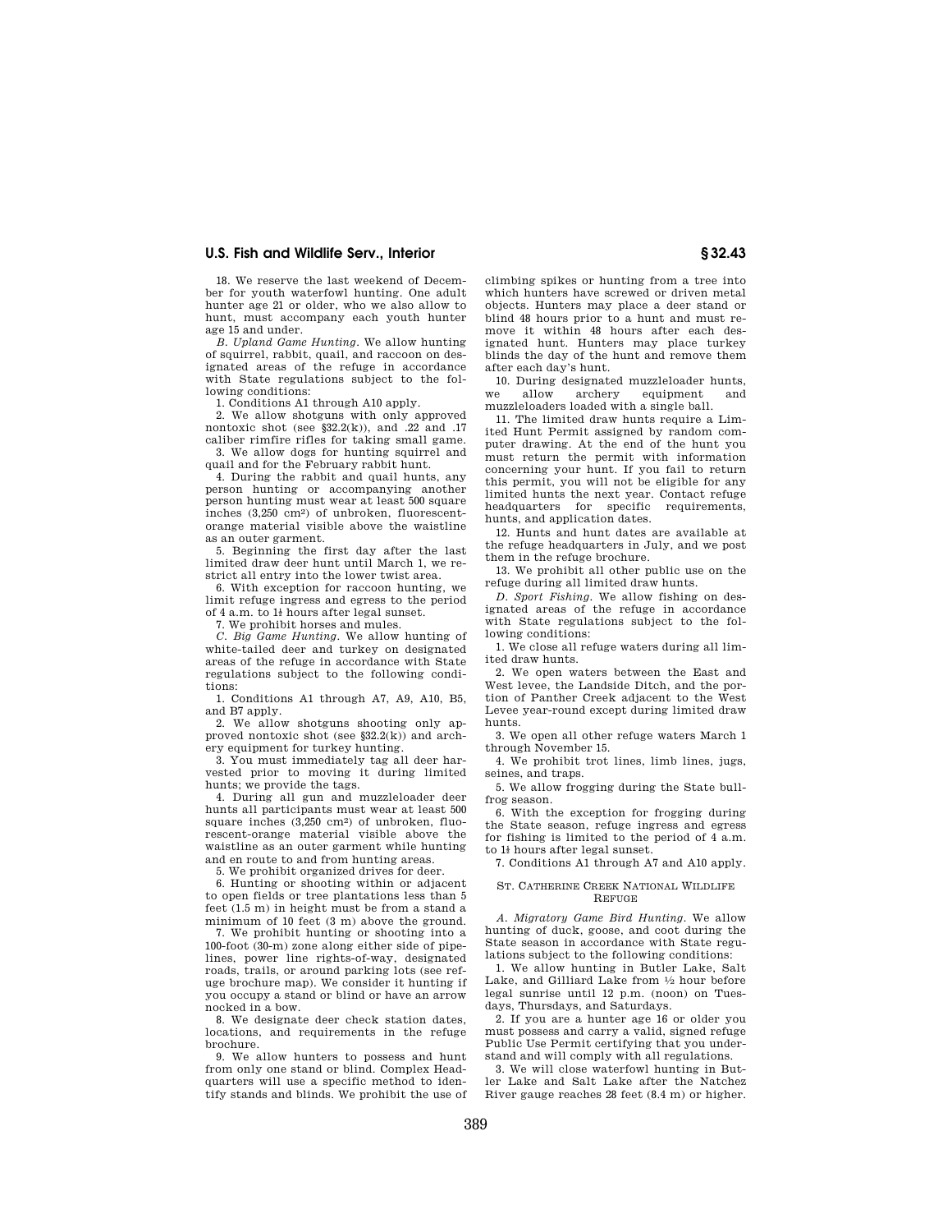18. We reserve the last weekend of December for youth waterfowl hunting. One adult hunter age 21 or older, who we also allow to hunt, must accompany each youth hunter age 15 and under.

*B. Upland Game Hunting*. We allow hunting of squirrel, rabbit, quail, and raccoon on des-ignated areas of the refuge in accordance with State regulations subject to the following conditions:

1. Conditions A1 through A10 apply.

2. We allow shotguns with only approved nontoxic shot (see  $\S 32.2(k)$ ), and .22 and .17 caliber rimfire rifles for taking small game.

3. We allow dogs for hunting squirrel and quail and for the February rabbit hunt.

4. During the rabbit and quail hunts, any person hunting or accompanying another person hunting must wear at least 500 square inches (3,250 cm2) of unbroken, fluorescentorange material visible above the waistline as an outer garment.

5. Beginning the first day after the last limited draw deer hunt until March 1, we restrict all entry into the lower twist area.

6. With exception for raccoon hunting, we limit refuge ingress and egress to the period of  $4$  a.m. to  $1<sup>1</sup>$  hours after legal sunset.

7. We prohibit horses and mules.

*C. Big Game Hunting*. We allow hunting of white-tailed deer and turkey on designated areas of the refuge in accordance with State regulations subject to the following conditions:

1. Conditions A1 through A7, A9, A10, B5, and B7 apply.

2. We allow shotguns shooting only approved nontoxic shot (see §32.2(k)) and archery equipment for turkey hunting.

3. You must immediately tag all deer harvested prior to moving it during limited hunts; we provide the tags.

4. During all gun and muzzleloader deer hunts all participants must wear at least 500 square inches (3,250 cm<sup>2</sup>) of unbroken, fluorescent-orange material visible above the waistline as an outer garment while hunting and en route to and from hunting areas.

5. We prohibit organized drives for deer.

6. Hunting or shooting within or adjacent to open fields or tree plantations less than 5 feet (1.5 m) in height must be from a stand a minimum of 10 feet (3 m) above the ground.

7. We prohibit hunting or shooting into a 100-foot (30-m) zone along either side of pipelines, power line rights-of-way, designated roads, trails, or around parking lots (see refuge brochure map). We consider it hunting if you occupy a stand or blind or have an arrow nocked in a bow.

8. We designate deer check station dates, locations, and requirements in the refuge brochure.

9. We allow hunters to possess and hunt from only one stand or blind. Complex Headquarters will use a specific method to identify stands and blinds. We prohibit the use of climbing spikes or hunting from a tree into which hunters have screwed or driven metal objects. Hunters may place a deer stand or blind 48 hours prior to a hunt and must remove it within 48 hours after each designated hunt. Hunters may place turkey blinds the day of the hunt and remove them after each day's hunt.

10. During designated muzzleloader hunts, we allow archery equipment and muzzleloaders loaded with a single ball.

11. The limited draw hunts require a Limited Hunt Permit assigned by random computer drawing. At the end of the hunt you must return the permit with information concerning your hunt. If you fail to return this permit, you will not be eligible for any limited hunts the next year. Contact refuge headquarters for specific requirements, hunts, and application dates.

12. Hunts and hunt dates are available at the refuge headquarters in July, and we post them in the refuge brochure.

13. We prohibit all other public use on the refuge during all limited draw hunts.

*D. Sport Fishing*. We allow fishing on des-ignated areas of the refuge in accordance with State regulations subject to the following conditions:

1. We close all refuge waters during all limited draw hunts.

2. We open waters between the East and West levee, the Landside Ditch, and the portion of Panther Creek adjacent to the West Levee year-round except during limited draw hunts.

3. We open all other refuge waters March 1 through November 15.

4. We prohibit trot lines, limb lines, jugs, seines, and traps.

5. We allow frogging during the State bullfrog season.

6. With the exception for frogging during the State season, refuge ingress and egress for fishing is limited to the period of 4 a.m. to  $1<sup>t</sup>$  hours after legal sunset.

7. Conditions A1 through A7 and A10 apply.

#### ST. CATHERINE CREEK NATIONAL WILDLIFE REFUGE

*A. Migratory Game Bird Hunting.* We allow hunting of duck, goose, and coot during the State season in accordance with State regulations subject to the following conditions:

1. We allow hunting in Butler Lake, Salt Lake, and Gilliard Lake from 1⁄2 hour before legal sunrise until 12 p.m. (noon) on Tuesdays, Thursdays, and Saturdays.

2. If you are a hunter age 16 or older you must possess and carry a valid, signed refuge Public Use Permit certifying that you understand and will comply with all regulations.

3. We will close waterfowl hunting in Butler Lake and Salt Lake after the Natchez River gauge reaches 28 feet (8.4 m) or higher.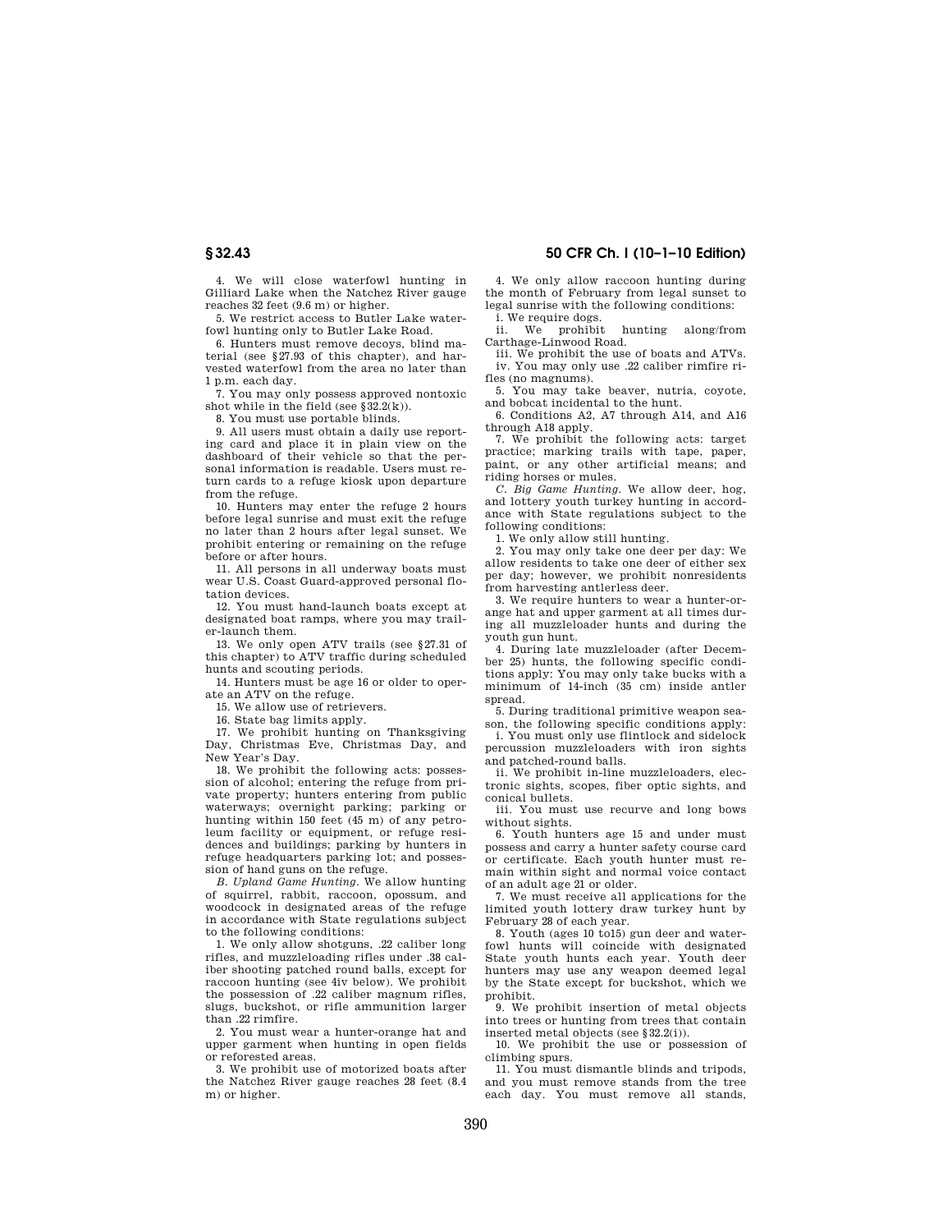# **§ 32.43 50 CFR Ch. I (10–1–10 Edition)**

4. We will close waterfowl hunting in Gilliard Lake when the Natchez River gauge reaches 32 feet (9.6 m) or higher.

5. We restrict access to Butler Lake waterfowl hunting only to Butler Lake Road.

6. Hunters must remove decoys, blind material (see §27.93 of this chapter), and harvested waterfowl from the area no later than 1 p.m. each day.

7. You may only possess approved nontoxic shot while in the field (see  $\S 32.2(k)$ ).

8. You must use portable blinds.

9. All users must obtain a daily use reporting card and place it in plain view on the dashboard of their vehicle so that the personal information is readable. Users must return cards to a refuge kiosk upon departure from the refuge.

10. Hunters may enter the refuge 2 hours before legal sunrise and must exit the refuge no later than 2 hours after legal sunset. We prohibit entering or remaining on the refuge before or after hours.

11. All persons in all underway boats must wear U.S. Coast Guard-approved personal flotation devices.

12. You must hand-launch boats except at designated boat ramps, where you may trailer-launch them.

13. We only open ATV trails (see §27.31 of this chapter) to ATV traffic during scheduled hunts and scouting periods.

14. Hunters must be age 16 or older to operate an ATV on the refuge.

15. We allow use of retrievers.

16. State bag limits apply.

17. We prohibit hunting on Thanksgiving Day, Christmas Eve, Christmas Day, and New Year's Day.

18. We prohibit the following acts: possession of alcohol; entering the refuge from private property; hunters entering from public waterways; overnight parking; parking or hunting within 150 feet (45 m) of any petroleum facility or equipment, or refuge residences and buildings; parking by hunters in refuge headquarters parking lot; and possession of hand guns on the refuge.

*B. Upland Game Hunting.* We allow hunting of squirrel, rabbit, raccoon, opossum, and woodcock in designated areas of the refuge in accordance with State regulations subject to the following conditions:

1. We only allow shotguns, .22 caliber long rifles, and muzzleloading rifles under .38 caliber shooting patched round balls, except for raccoon hunting (see 4iv below). We prohibit the possession of .22 caliber magnum rifles, slugs, buckshot, or rifle ammunition larger than .22 rimfire.

2. You must wear a hunter-orange hat and upper garment when hunting in open fields or reforested areas.

3. We prohibit use of motorized boats after the Natchez River gauge reaches 28 feet (8.4 m) or higher.

4. We only allow raccoon hunting during the month of February from legal sunset to legal sunrise with the following conditions:

i. We require dogs.<br>ii. We prohibit hunting along/from Carthage-Linwood Road.

iii. We prohibit the use of boats and ATVs. iv. You may only use .22 caliber rimfire rifles (no magnums).

5. You may take beaver, nutria, coyote, and bobcat incidental to the hunt.

6. Conditions A2, A7 through A14, and A16 through A18 apply.

7. We prohibit the following acts: target practice; marking trails with tape, paper, paint, or any other artificial means; and riding horses or mules.

*C. Big Game Hunting.* We allow deer, hog, and lottery youth turkey hunting in accordance with State regulations subject to the following conditions:

1. We only allow still hunting.

2. You may only take one deer per day: We allow residents to take one deer of either sex per day; however, we prohibit nonresidents from harvesting antlerless deer.

3. We require hunters to wear a hunter-orange hat and upper garment at all times during all muzzleloader hunts and during the youth gun hunt.

4. During late muzzleloader (after December 25) hunts, the following specific conditions apply: You may only take bucks with a minimum of 14-inch (35 cm) inside antler spread.

5. During traditional primitive weapon season, the following specific conditions apply:

i. You must only use flintlock and sidelock percussion muzzleloaders with iron sights and patched-round balls.

ii. We prohibit in-line muzzleloaders, electronic sights, scopes, fiber optic sights, and conical bullets.

iii. You must use recurve and long bows without sights.

6. Youth hunters age 15 and under must possess and carry a hunter safety course card or certificate. Each youth hunter must remain within sight and normal voice contact of an adult age 21 or older.

7. We must receive all applications for the limited youth lottery draw turkey hunt by February 28 of each year.

8. Youth (ages 10 to15) gun deer and waterfowl hunts will coincide with designated State youth hunts each year. Youth deer hunters may use any weapon deemed legal by the State except for buckshot, which we prohibit.

9. We prohibit insertion of metal objects into trees or hunting from trees that contain inserted metal objects (see §32.2(i)).

10. We prohibit the use or possession of climbing spurs.

11. You must dismantle blinds and tripods, and you must remove stands from the tree each day. You must remove all stands,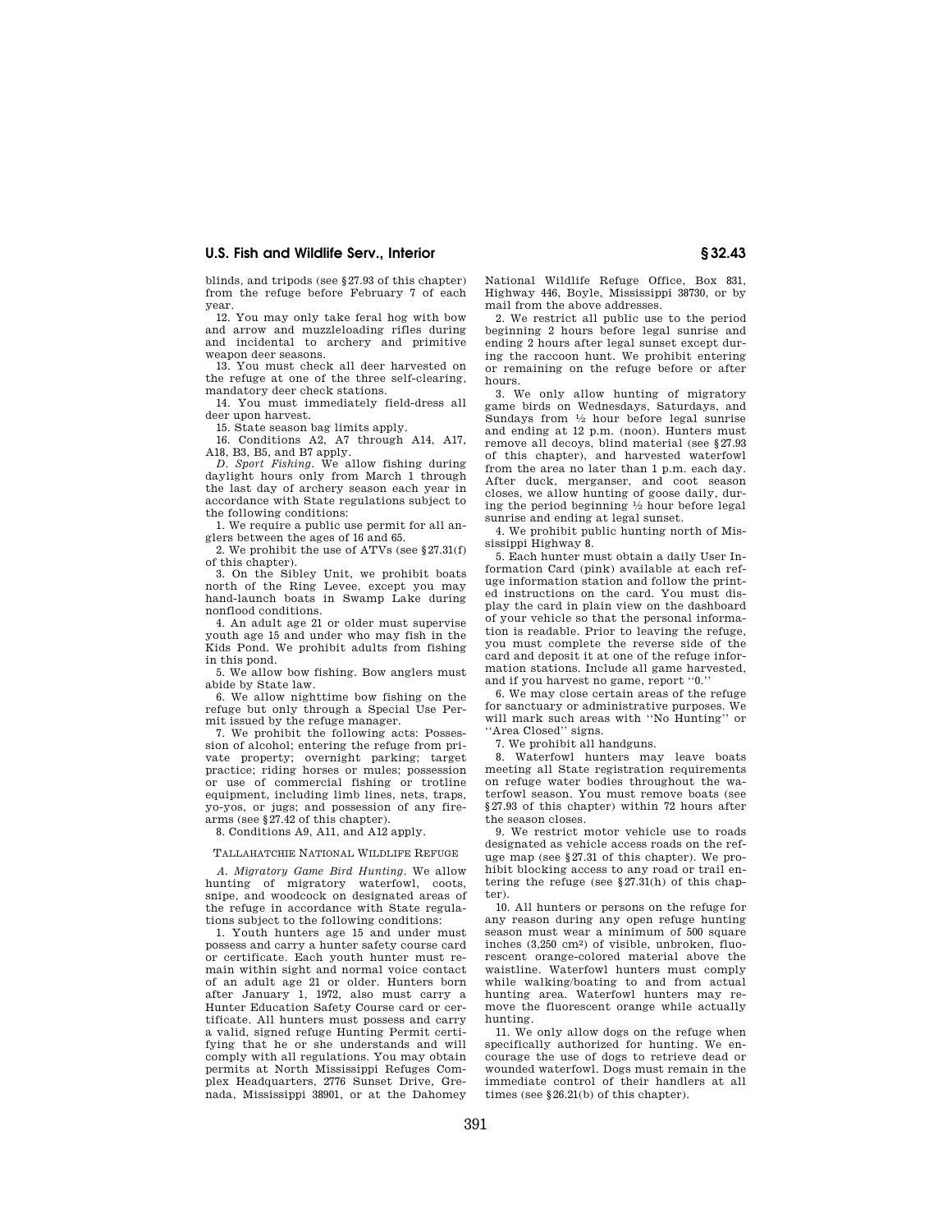blinds, and tripods (see §27.93 of this chapter) from the refuge before February 7 of each year.

12. You may only take feral hog with bow and arrow and muzzleloading rifles during and incidental to archery and primitive weapon deer seasons.

13. You must check all deer harvested on the refuge at one of the three self-clearing, mandatory deer check stations.

14. You must immediately field-dress all deer upon harvest.

15. State season bag limits apply.

16. Conditions A2, A7 through A14, A17, A18, B3, B5, and B7 apply.

*D. Sport Fishing.* We allow fishing during daylight hours only from March 1 through the last day of archery season each year in accordance with State regulations subject to the following conditions:

1. We require a public use permit for all anglers between the ages of 16 and 65.

2. We prohibit the use of ATVs (see §27.31(f) of this chapter).

3. On the Sibley Unit, we prohibit boats north of the Ring Levee, except you may hand-launch boats in Swamp Lake during nonflood conditions.

4. An adult age 21 or older must supervise youth age 15 and under who may fish in the Kids Pond. We prohibit adults from fishing in this pond.

5. We allow bow fishing. Bow anglers must abide by State law.

6. We allow nighttime bow fishing on the refuge but only through a Special Use Permit issued by the refuge manager.

7. We prohibit the following acts: Possession of alcohol; entering the refuge from private property; overnight parking; target practice; riding horses or mules; possession or use of commercial fishing or trotline equipment, including limb lines, nets, traps, yo-yos, or jugs; and possession of any firearms (see §27.42 of this chapter).

8. Conditions A9, A11, and A12 apply.

## TALLAHATCHIE NATIONAL WILDLIFE REFUGE

*A. Migratory Game Bird Hunting.* We allow hunting of migratory waterfowl, coots, snipe, and woodcock on designated areas of the refuge in accordance with State regulations subject to the following conditions:

1. Youth hunters age 15 and under must possess and carry a hunter safety course card or certificate. Each youth hunter must remain within sight and normal voice contact of an adult age 21 or older. Hunters born after January 1, 1972, also must carry a Hunter Education Safety Course card or certificate. All hunters must possess and carry a valid, signed refuge Hunting Permit certifying that he or she understands and will comply with all regulations. You may obtain permits at North Mississippi Refuges Complex Headquarters, 2776 Sunset Drive, Grenada, Mississippi 38901, or at the Dahomey

National Wildlife Refuge Office, Box 831, Highway 446, Boyle, Mississippi 38730, or by mail from the above addresses.

2. We restrict all public use to the period beginning 2 hours before legal sunrise and ending 2 hours after legal sunset except during the raccoon hunt. We prohibit entering or remaining on the refuge before or after hours.

3. We only allow hunting of migratory game birds on Wednesdays, Saturdays, and Sundays from 1⁄2 hour before legal sunrise and ending at 12 p.m. (noon). Hunters must remove all decoys, blind material (see §27.93 of this chapter), and harvested waterfowl from the area no later than 1 p.m. each day. After duck, merganser, and coot season closes, we allow hunting of goose daily, during the period beginning  $\frac{1}{2}$  hour before legal sunrise and ending at legal sunset.

4. We prohibit public hunting north of Mississippi Highway 8.

5. Each hunter must obtain a daily User Information Card (pink) available at each refuge information station and follow the printed instructions on the card. You must display the card in plain view on the dashboard of your vehicle so that the personal information is readable. Prior to leaving the refuge, you must complete the reverse side of the card and deposit it at one of the refuge information stations. Include all game harvested, and if you harvest no game, report ''0.''

6. We may close certain areas of the refuge for sanctuary or administrative purposes. We will mark such areas with ''No Hunting'' or "Area Closed" signs.

7. We prohibit all handguns.

8. Waterfowl hunters may leave boats meeting all State registration requirements on refuge water bodies throughout the waterfowl season. You must remove boats (see §27.93 of this chapter) within 72 hours after the season closes.

9. We restrict motor vehicle use to roads designated as vehicle access roads on the refuge map (see §27.31 of this chapter). We prohibit blocking access to any road or trail entering the refuge (see §27.31(h) of this chapter).

10. All hunters or persons on the refuge for any reason during any open refuge hunting season must wear a minimum of 500 square inches (3,250 cm2) of visible, unbroken, fluorescent orange-colored material above the waistline. Waterfowl hunters must comply while walking/boating to and from actual hunting area. Waterfowl hunters may remove the fluorescent orange while actually hunting.

11. We only allow dogs on the refuge when specifically authorized for hunting. We encourage the use of dogs to retrieve dead or wounded waterfowl. Dogs must remain in the immediate control of their handlers at all times (see §26.21(b) of this chapter).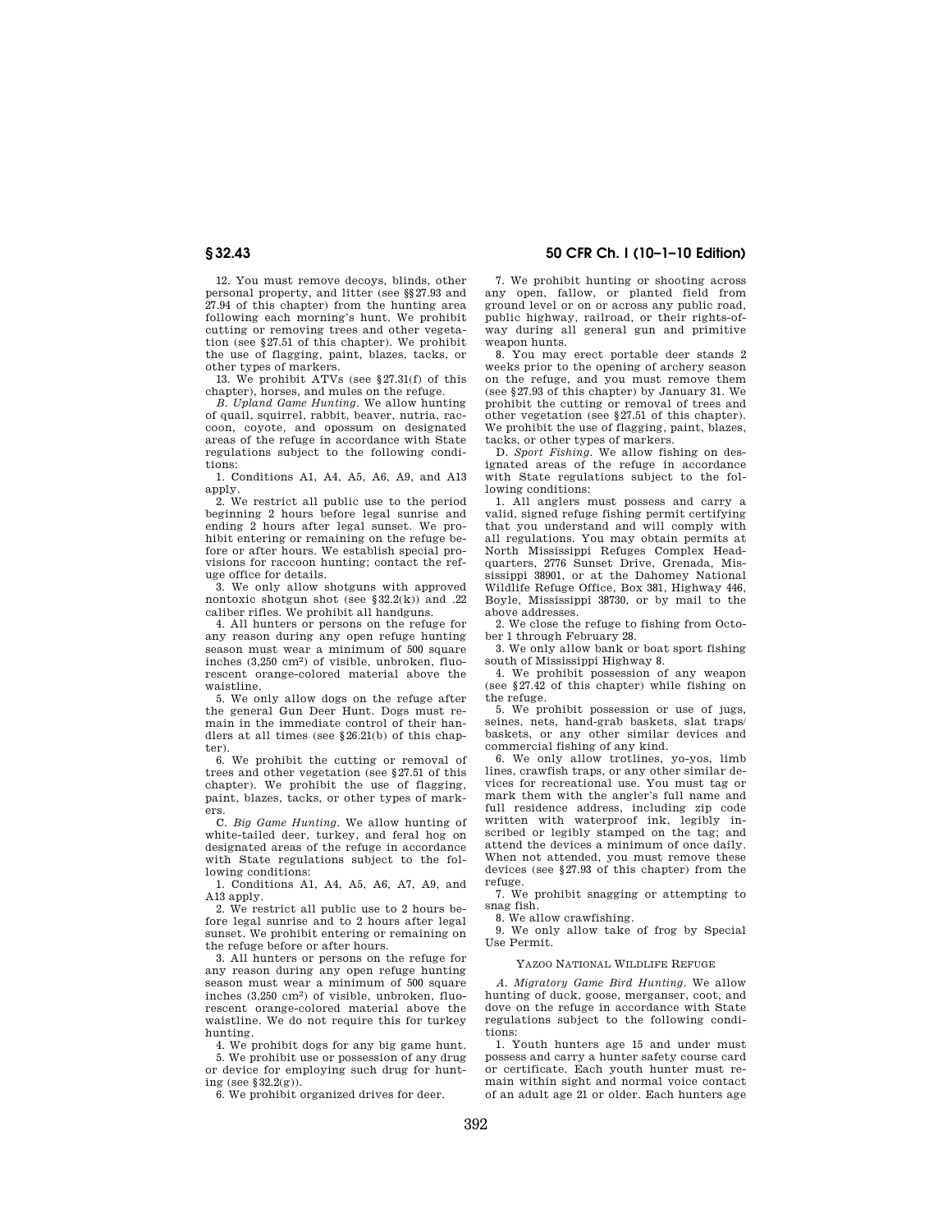12. You must remove decoys, blinds, other personal property, and litter (see §§27.93 and 27.94 of this chapter) from the hunting area following each morning's hunt. We prohibit cutting or removing trees and other vegetation (see §27.51 of this chapter). We prohibit the use of flagging, paint, blazes, tacks, or other types of markers.

13. We prohibit ATVs (see §27.31(f) of this chapter), horses, and mules on the refuge.

*B. Upland Game Hunting.* We allow hunting of quail, squirrel, rabbit, beaver, nutria, raccoon, coyote, and opossum on designated areas of the refuge in accordance with State regulations subject to the following conditions:

1. Conditions A1, A4, A5, A6, A9, and A13 apply.

2. We restrict all public use to the period beginning 2 hours before legal sunrise and ending 2 hours after legal sunset. We prohibit entering or remaining on the refuge before or after hours. We establish special provisions for raccoon hunting; contact the refuge office for details.

3. We only allow shotguns with approved nontoxic shotgun shot (see  $$32.2(k)$ ) and .22 caliber rifles. We prohibit all handguns.

4. All hunters or persons on the refuge for any reason during any open refuge hunting season must wear a minimum of 500 square inches (3,250 cm2) of visible, unbroken, fluorescent orange-colored material above the waistline.

5. We only allow dogs on the refuge after the general Gun Deer Hunt. Dogs must remain in the immediate control of their handlers at all times (see §26.21(b) of this chapter).

 $6.$  We prohibit the cutting or removal of trees and other vegetation (see §27.51 of this chapter). We prohibit the use of flagging, paint, blazes, tacks, or other types of markers.

C. *Big Game Hunting.* We allow hunting of white-tailed deer, turkey, and feral hog on designated areas of the refuge in accordance with State regulations subject to the following conditions:

1. Conditions A1, A4, A5, A6, A7, A9, and A<sub>13</sub> apply.

2. We restrict all public use to 2 hours before legal sunrise and to 2 hours after legal sunset. We prohibit entering or remaining on the refuge before or after hours.

3. All hunters or persons on the refuge for any reason during any open refuge hunting season must wear a minimum of 500 square inches (3,250 cm2) of visible, unbroken, fluorescent orange-colored material above the waistline. We do not require this for turkey hunting.

4. We prohibit dogs for any big game hunt. 5. We prohibit use or possession of any drug or device for employing such drug for hunting (see §32.2(g)).

6. We prohibit organized drives for deer.

# **§ 32.43 50 CFR Ch. I (10–1–10 Edition)**

7. We prohibit hunting or shooting across any open, fallow, or planted field from ground level or on or across any public road, public highway, railroad, or their rights-ofway during all general gun and primitive weapon hunts.

8. You may erect portable deer stands 2 weeks prior to the opening of archery season on the refuge, and you must remove them (see §27.93 of this chapter) by January 31. We prohibit the cutting or removal of trees and other vegetation (see §27.51 of this chapter). We prohibit the use of flagging, paint, blazes, tacks, or other types of markers.

D. *Sport Fishing.* We allow fishing on des-ignated areas of the refuge in accordance with State regulations subject to the following conditions:

1. All anglers must possess and carry a valid, signed refuge fishing permit certifying that you understand and will comply with all regulations. You may obtain permits at North Mississippi Refuges Complex Headquarters, 2776 Sunset Drive, Grenada, Mississippi 38901, or at the Dahomey National Wildlife Refuge Office, Box 381, Highway 446, Boyle, Mississippi 38730, or by mail to the above addresses.

2. We close the refuge to fishing from October 1 through February 28.

3. We only allow bank or boat sport fishing south of Mississippi Highway 8.

4. We prohibit possession of any weapon (see §27.42 of this chapter) while fishing on the refuge.

5. We prohibit possession or use of jugs, seines, nets, hand-grab baskets, slat traps/ baskets, or any other similar devices and commercial fishing of any kind.

6. We only allow trotlines, yo-yos, limb lines, crawfish traps, or any other similar devices for recreational use. You must tag or mark them with the angler's full name and full residence address, including zip code written with waterproof ink, legibly inscribed or legibly stamped on the tag; and attend the devices a minimum of once daily. When not attended, you must remove these devices (see §27.93 of this chapter) from the refuge.

7. We prohibit snagging or attempting to snag fish.

8. We allow crawfishing.

9. We only allow take of frog by Special Use Permit.

### YAZOO NATIONAL WILDLIFE REFUGE

*A. Migratory Game Bird Hunting*. We allow hunting of duck, goose, merganser, coot, and dove on the refuge in accordance with State regulations subject to the following conditions:

1. Youth hunters age 15 and under must possess and carry a hunter safety course card or certificate. Each youth hunter must remain within sight and normal voice contact of an adult age 21 or older. Each hunters age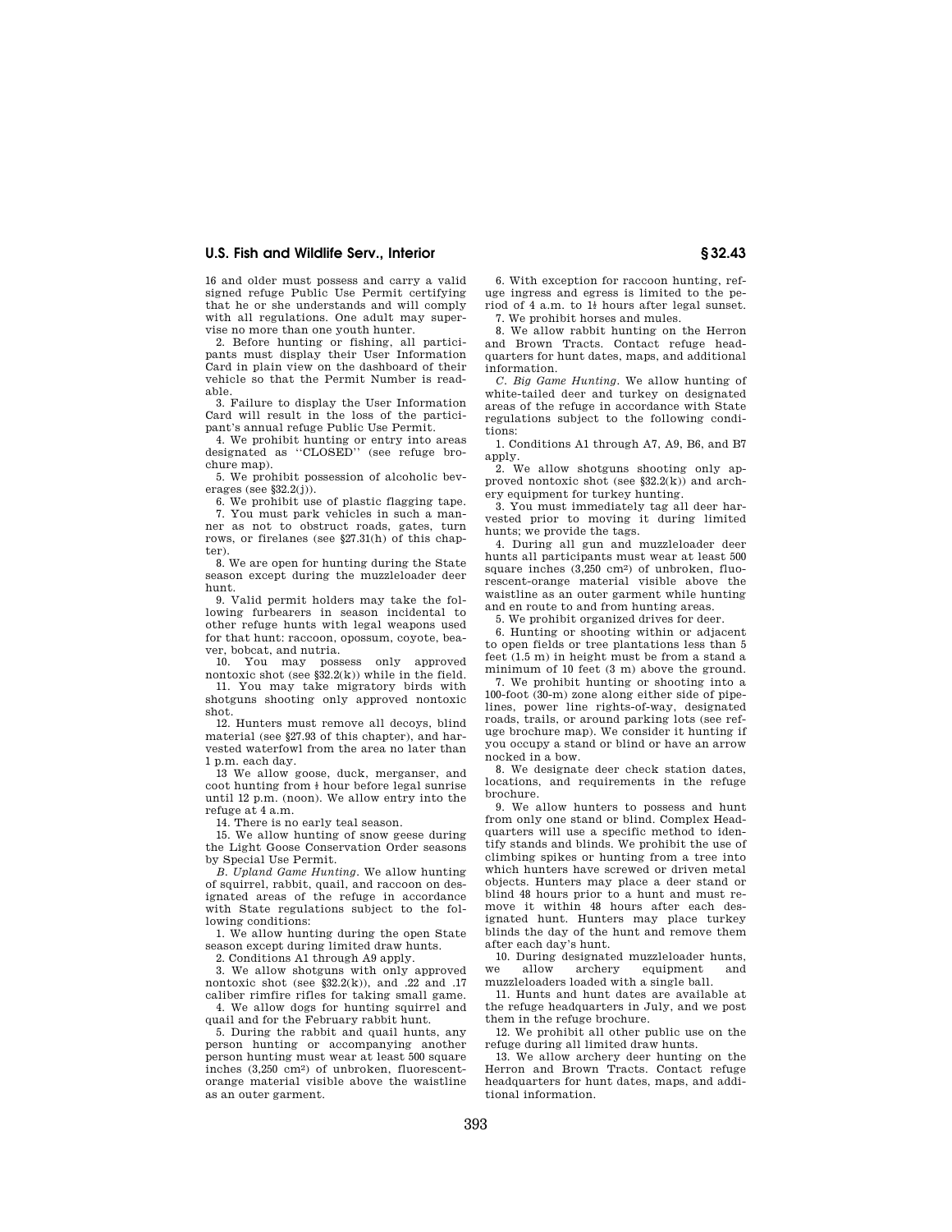16 and older must possess and carry a valid signed refuge Public Use Permit certifying that he or she understands and will comply with all regulations. One adult may supervise no more than one youth hunter.

2. Before hunting or fishing, all participants must display their User Information Card in plain view on the dashboard of their vehicle so that the Permit Number is readable.

3. Failure to display the User Information Card will result in the loss of the participant's annual refuge Public Use Permit.

4. We prohibit hunting or entry into areas<br>designated as "CLOSED" (see refuge brodesignated as ''CLOSED'' (see refuge brochure map).

5. We prohibit possession of alcoholic beverages (see  $$32.2(j)$ ).

6. We prohibit use of plastic flagging tape. 7. You must park vehicles in such a manner as not to obstruct roads, gates, turn rows, or firelanes (see §27.31(h) of this chapter).

8. We are open for hunting during the State season except during the muzzleloader deer hunt.

9. Valid permit holders may take the following furbearers in season incidental to other refuge hunts with legal weapons used for that hunt: raccoon, opossum, coyote, beaver, bobcat, and nutria.

10. You may possess only approved nontoxic shot (see §32.2(k)) while in the field.

11. You may take migratory birds with shotguns shooting only approved nontoxic shot.

12. Hunters must remove all decoys, blind material (see §27.93 of this chapter), and harvested waterfowl from the area no later than 1 p.m. each day.

13 We allow goose, duck, merganser, and coot hunting from  $\frac{1}{2}$  hour before legal sunrise until 12 p.m. (noon). We allow entry into the refuge at 4 a.m.

14. There is no early teal season.

15. We allow hunting of snow geese during the Light Goose Conservation Order seasons by Special Use Permit.

*B. Upland Game Hunting*. We allow hunting of squirrel, rabbit, quail, and raccoon on designated areas of the refuge in accordance with State regulations subject to the following conditions:

1. We allow hunting during the open State season except during limited draw hunts.

2. Conditions A1 through A9 apply.

3. We allow shotguns with only approved nontoxic shot (see  $\S 32.2(k)$ ), and .22 and .17 caliber rimfire rifles for taking small game. 4. We allow dogs for hunting squirrel and

quail and for the February rabbit hunt. 5. During the rabbit and quail hunts, any

person hunting or accompanying another person hunting must wear at least 500 square inches (3,250 cm2) of unbroken, fluorescentorange material visible above the waistline as an outer garment.

6. With exception for raccoon hunting, refuge ingress and egress is limited to the period of 4 a.m. to  $1<sub>i</sub>$  hours after legal sunset. 7. We prohibit horses and mules.

8. We allow rabbit hunting on the Herron and Brown Tracts. Contact refuge headquarters for hunt dates, maps, and additional information.

*C. Big Game Hunting*. We allow hunting of white-tailed deer and turkey on designated areas of the refuge in accordance with State regulations subject to the following conditions:

1. Conditions A1 through A7, A9, B6, and B7 apply.

2. We allow shotguns shooting only approved nontoxic shot (see §32.2(k)) and archery equipment for turkey hunting.

3. You must immediately tag all deer harvested prior to moving it during limited hunts; we provide the tags.

4. During all gun and muzzleloader deer hunts all participants must wear at least 500 square inches (3,250 cm2) of unbroken, fluorescent-orange material visible above the waistline as an outer garment while hunting and en route to and from hunting areas.

5. We prohibit organized drives for deer.

6. Hunting or shooting within or adjacent to open fields or tree plantations less than 5 feet (1.5 m) in height must be from a stand a minimum of 10 feet (3 m) above the ground.

7. We prohibit hunting or shooting into a 100-foot (30-m) zone along either side of pipelines, power line rights-of-way, designated roads, trails, or around parking lots (see refuge brochure map). We consider it hunting if you occupy a stand or blind or have an arrow nocked in a bow.

8. We designate deer check station dates, locations, and requirements in the refuge brochure.

9. We allow hunters to possess and hunt from only one stand or blind. Complex Headquarters will use a specific method to identify stands and blinds. We prohibit the use of climbing spikes or hunting from a tree into which hunters have screwed or driven metal objects. Hunters may place a deer stand or blind 48 hours prior to a hunt and must remove it within 48 hours after each designated hunt. Hunters may place turkey blinds the day of the hunt and remove them after each day's hunt.

10. During designated muzzleloader hunts, we allow archery equipment muzzleloaders loaded with a single ball.

11. Hunts and hunt dates are available at the refuge headquarters in July, and we post them in the refuge brochure.

12. We prohibit all other public use on the refuge during all limited draw hunts.

13. We allow archery deer hunting on the Herron and Brown Tracts. Contact refuge headquarters for hunt dates, maps, and additional information.